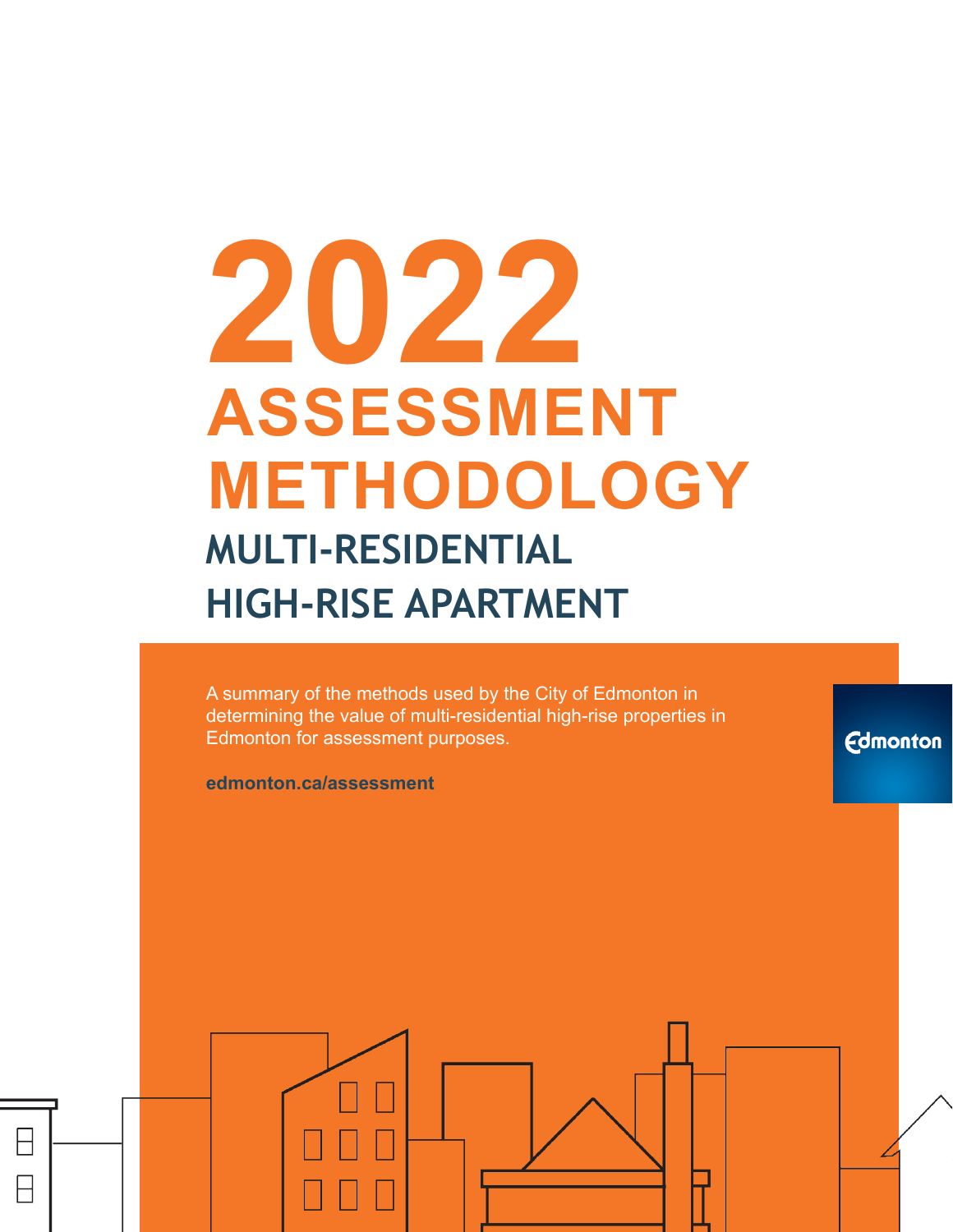# **2022 ASSESSMENT METHODOLOGY MULTI-RESIDENTIAL HIGH-RISE APARTMENT**

A summary of the methods used by the City of Edmonton in determining the value of multi-residential high-rise properties in Edmonton for assessment purposes.

**Edmonton** 

**edmonton.ca/assessment**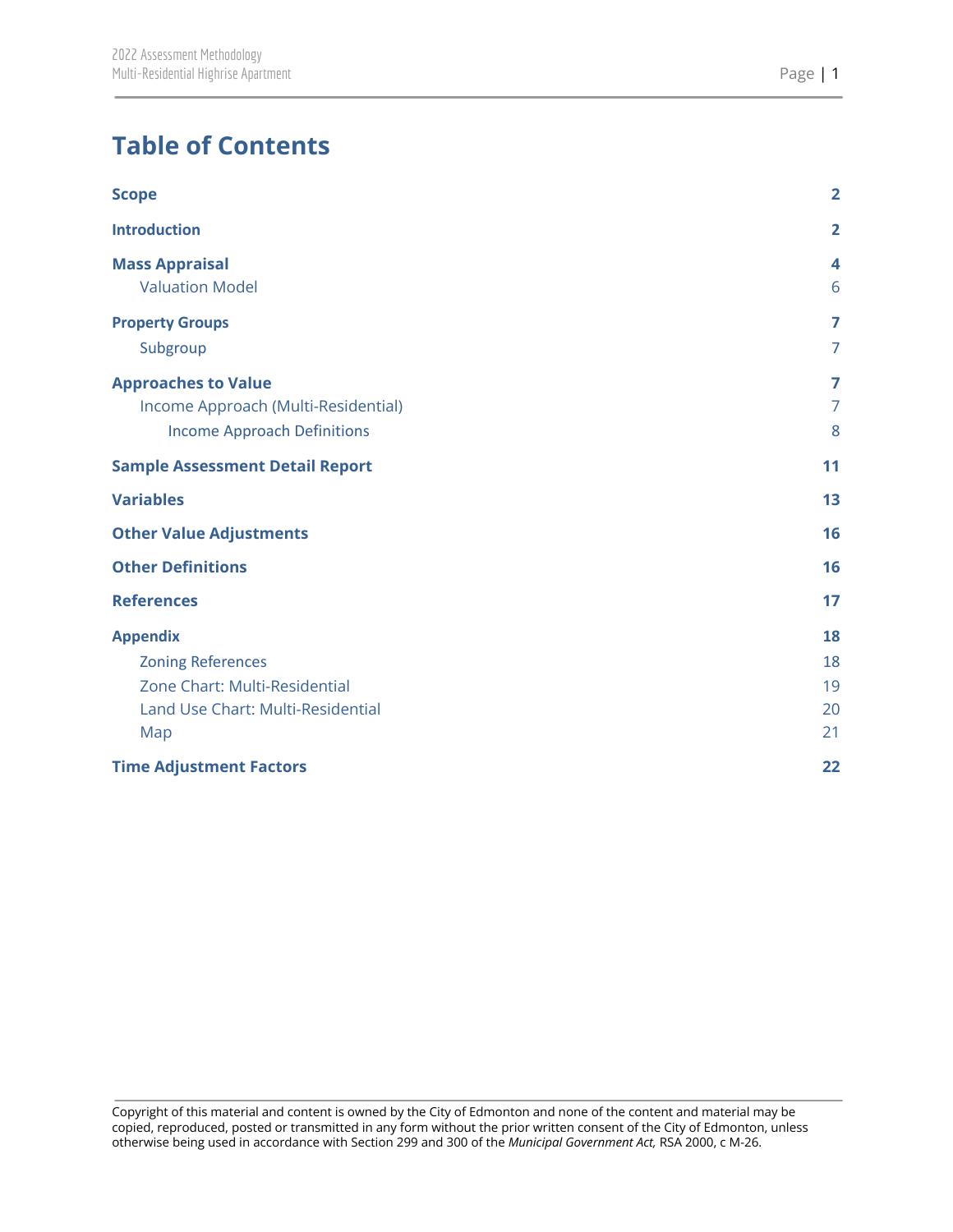# **Table of Contents**

| <b>Scope</b>                           | $\overline{\mathbf{2}}$ |
|----------------------------------------|-------------------------|
| <b>Introduction</b>                    | $\overline{2}$          |
| <b>Mass Appraisal</b>                  | 4                       |
| <b>Valuation Model</b>                 | 6                       |
| <b>Property Groups</b>                 | 7                       |
| Subgroup                               | $\overline{7}$          |
| <b>Approaches to Value</b>             | 7                       |
| Income Approach (Multi-Residential)    | $\overline{7}$          |
| <b>Income Approach Definitions</b>     | 8                       |
| <b>Sample Assessment Detail Report</b> | 11                      |
| <b>Variables</b>                       | 13                      |
| <b>Other Value Adjustments</b>         | 16                      |
| <b>Other Definitions</b>               | 16                      |
| <b>References</b>                      | 17                      |
| <b>Appendix</b>                        | 18                      |
| <b>Zoning References</b>               | 18                      |
| Zone Chart: Multi-Residential          | 19                      |
| Land Use Chart: Multi-Residential      | 20                      |
| Map                                    | 21                      |
| <b>Time Adjustment Factors</b>         | 22                      |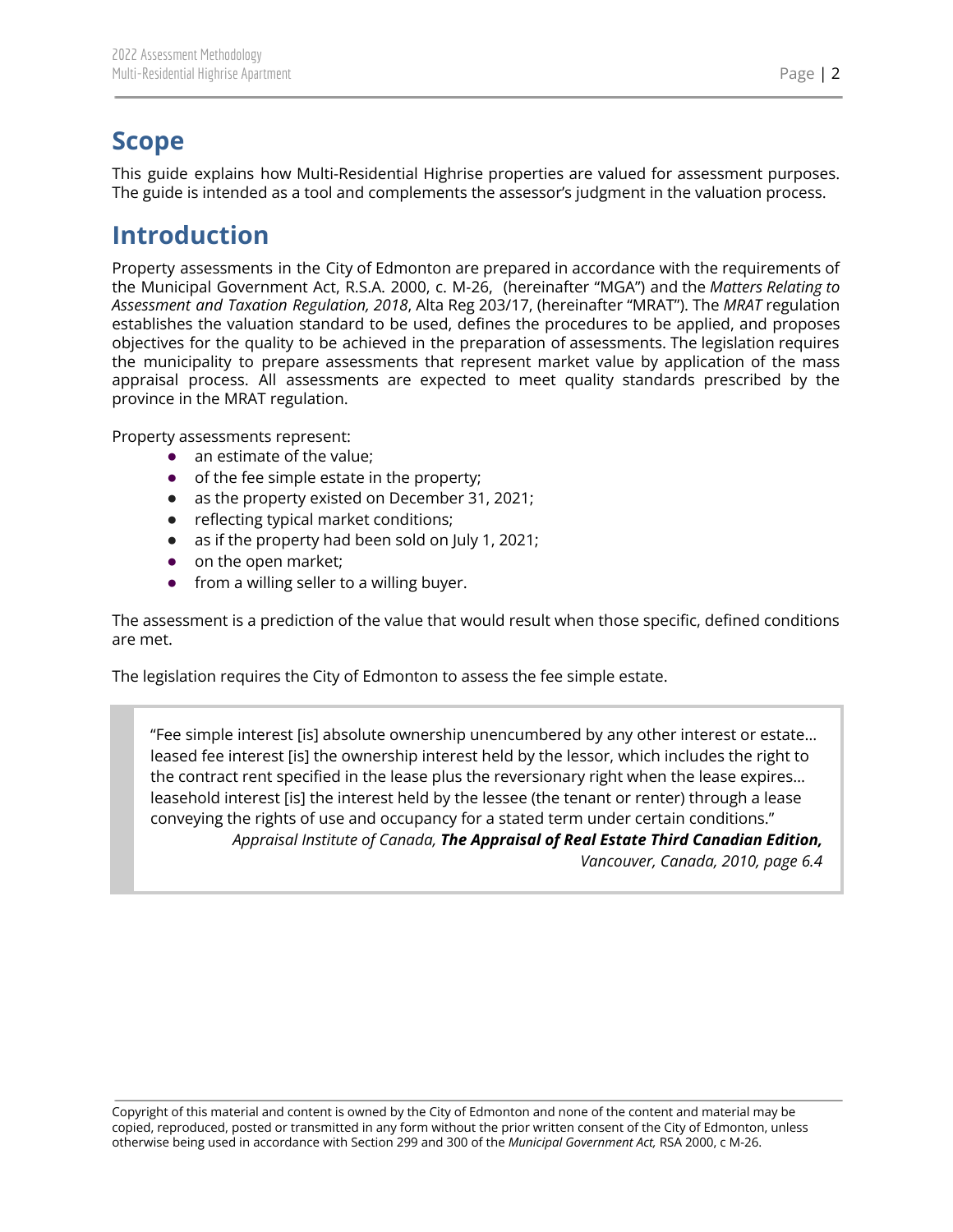## <span id="page-2-0"></span>**Scope**

This guide explains how Multi-Residential Highrise properties are valued for assessment purposes. The guide is intended as a tool and complements the assessor's judgment in the valuation process.

## <span id="page-2-1"></span>**Introduction**

Property assessments in the City of Edmonton are prepared in accordance with the requirements of the Municipal Government Act, R.S.A. 2000, c. M-26, (hereinafter "MGA") and the *Matters Relating to Assessment and Taxation Regulation, 2018*, Alta Reg 203/17, (hereinafter "MRAT"). The *MRAT* regulation establishes the valuation standard to be used, defines the procedures to be applied, and proposes objectives for the quality to be achieved in the preparation of assessments. The legislation requires the municipality to prepare assessments that represent market value by application of the mass appraisal process. All assessments are expected to meet quality standards prescribed by the province in the MRAT regulation.

Property assessments represent:

- an estimate of the value;
- of the fee simple estate in the property;
- as the property existed on December 31, 2021;
- reflecting typical market conditions;
- as if the property had been sold on July 1, 2021;
- on the open market;
- from a willing seller to a willing buyer.

The assessment is a prediction of the value that would result when those specific, defined conditions are met.

The legislation requires the City of Edmonton to assess the fee simple estate.

"Fee simple interest [is] absolute ownership unencumbered by any other interest or estate… leased fee interest [is] the ownership interest held by the lessor, which includes the right to the contract rent specified in the lease plus the reversionary right when the lease expires… leasehold interest [is] the interest held by the lessee (the tenant or renter) through a lease conveying the rights of use and occupancy for a stated term under certain conditions." *Appraisal Institute of Canada, The Appraisal of Real Estate Third Canadian Edition, Vancouver, Canada, 2010, page 6.4*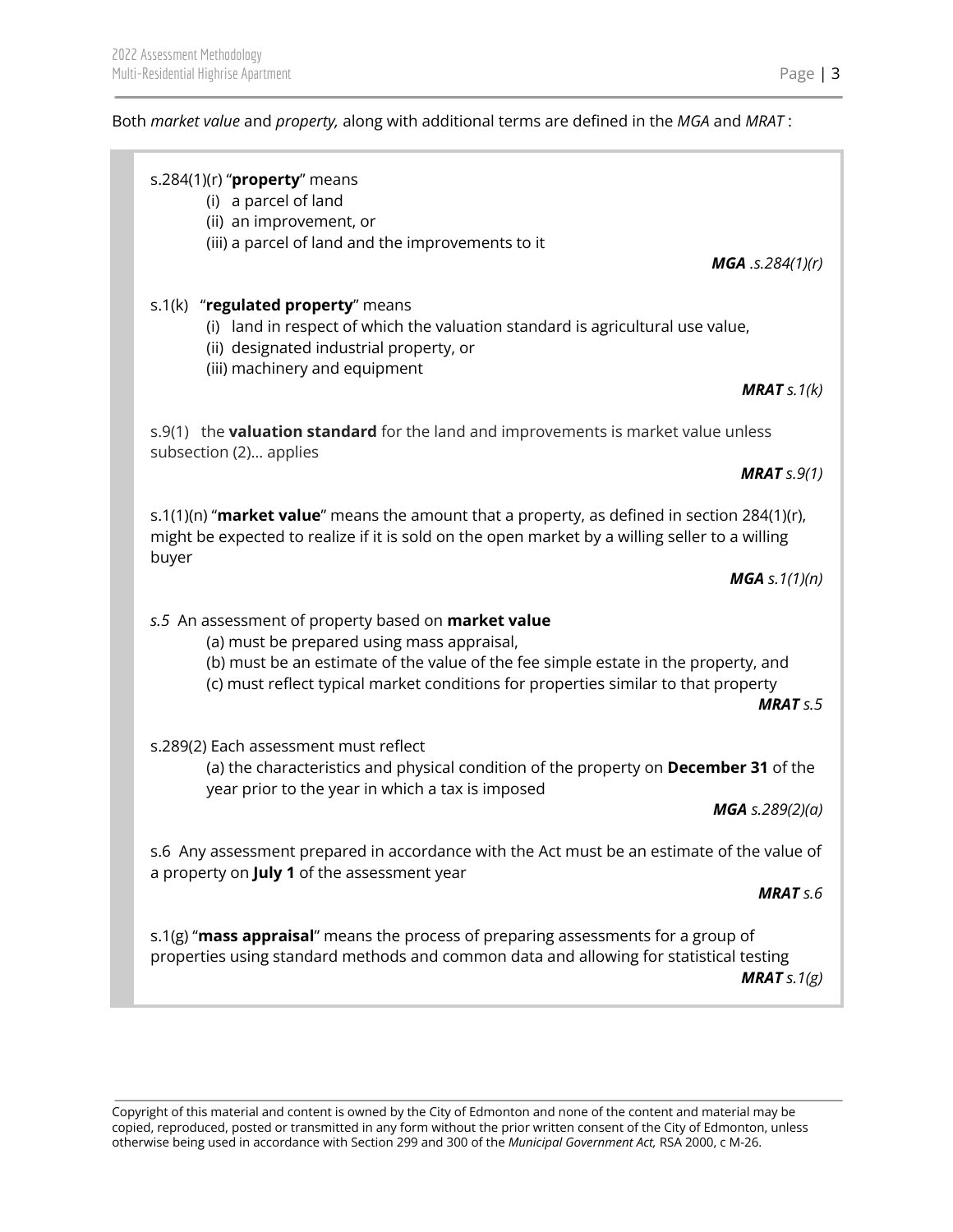## Both *market value* and *property,* along with additional terms are defined in the *MGA* and *MRAT* :

| s.284(1)(r) " $proper$ yroperty" means<br>(i) a parcel of land<br>(ii) an improvement, or<br>(iii) a parcel of land and the improvements to it<br><b>MGA</b> .s.284 $(1)(r)$                                                                                                                    |
|-------------------------------------------------------------------------------------------------------------------------------------------------------------------------------------------------------------------------------------------------------------------------------------------------|
| s.1(k) "regulated property" means<br>(i) land in respect of which the valuation standard is agricultural use value,<br>(ii) designated industrial property, or<br>(iii) machinery and equipment<br><b>MRAT</b> $s.1(k)$                                                                         |
| s.9(1) the <b>valuation standard</b> for the land and improvements is market value unless<br>subsection (2) applies<br><b>MRAT</b> $s.9(1)$                                                                                                                                                     |
| s.1(1)(n) "market value" means the amount that a property, as defined in section 284(1)(r),<br>might be expected to realize if it is sold on the open market by a willing seller to a willing<br>buyer                                                                                          |
| <b>MGA</b> s. $1(1)(n)$                                                                                                                                                                                                                                                                         |
| s.5 An assessment of property based on <b>market value</b><br>(a) must be prepared using mass appraisal,<br>(b) must be an estimate of the value of the fee simple estate in the property, and<br>(c) must reflect typical market conditions for properties similar to that property<br>MRATS.5 |
| s.289(2) Each assessment must reflect<br>(a) the characteristics and physical condition of the property on December 31 of the<br>year prior to the year in which a tax is imposed                                                                                                               |
| <b>MGA</b> s.289(2)(a)                                                                                                                                                                                                                                                                          |
| s.6 Any assessment prepared in accordance with the Act must be an estimate of the value of<br>a property on <b>July 1</b> of the assessment year                                                                                                                                                |
| <b>MRAT</b> s.6                                                                                                                                                                                                                                                                                 |
| s.1(g) "mass appraisal" means the process of preparing assessments for a group of<br>properties using standard methods and common data and allowing for statistical testing<br><b>MRAT</b> s. $1(g)$                                                                                            |
|                                                                                                                                                                                                                                                                                                 |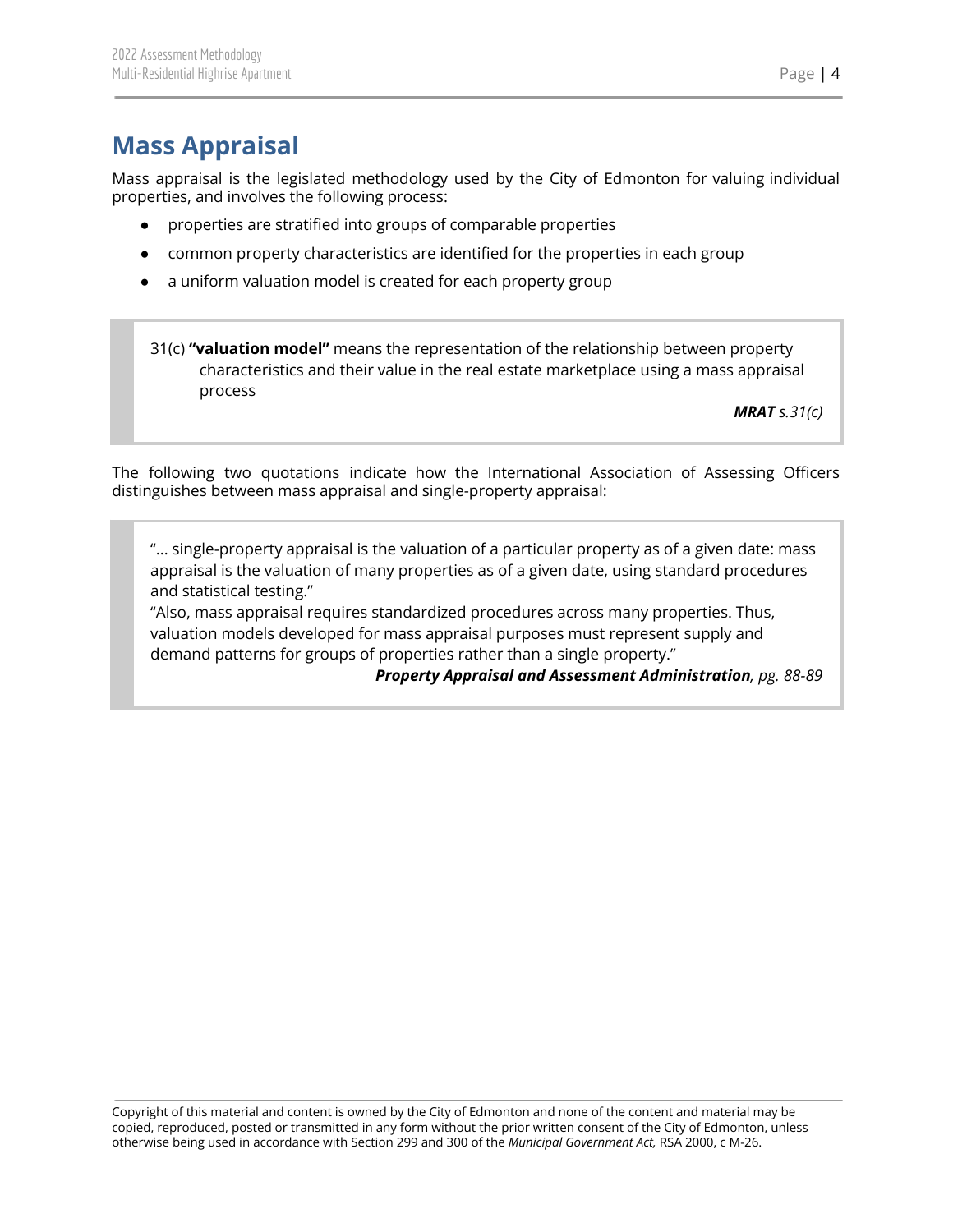# <span id="page-4-0"></span>**Mass Appraisal**

Mass appraisal is the legislated methodology used by the City of Edmonton for valuing individual properties, and involves the following process:

- properties are stratified into groups of comparable properties
- common property characteristics are identified for the properties in each group
- a uniform valuation model is created for each property group

31(c) **"valuation model"** means the representation of the relationship between property characteristics and their value in the real estate marketplace using a mass appraisal process

*MRAT s.31(c)*

The following two quotations indicate how the International Association of Assessing Officers distinguishes between mass appraisal and single-property appraisal:

"... single-property appraisal is the valuation of a particular property as of a given date: mass appraisal is the valuation of many properties as of a given date, using standard procedures and statistical testing."

"Also, mass appraisal requires standardized procedures across many properties. Thus, valuation models developed for mass appraisal purposes must represent supply and demand patterns for groups of properties rather than a single property."

*Property Appraisal and Assessment Administration, pg. 88-89*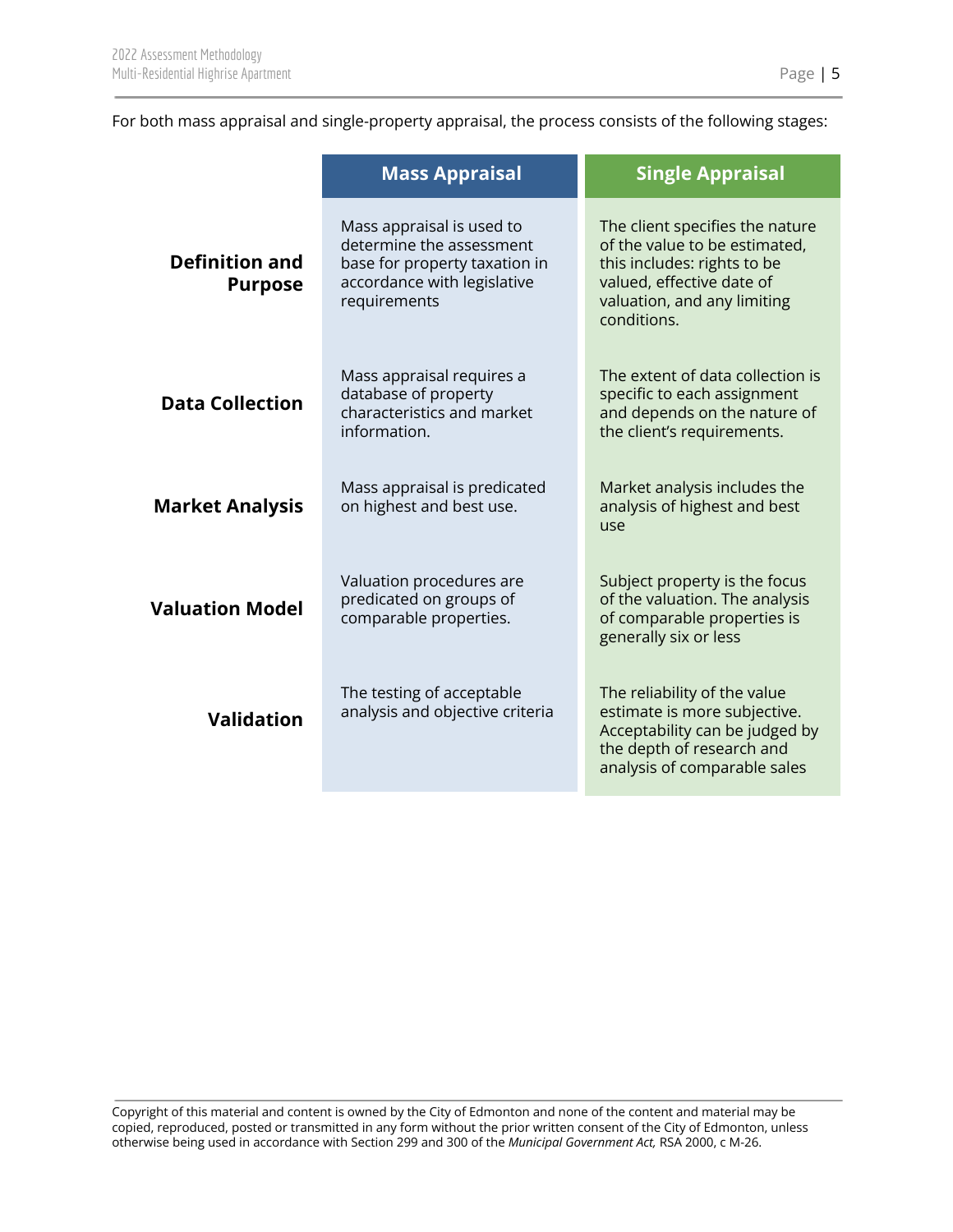For both mass appraisal and single-property appraisal, the process consists of the following stages:

|                                         | <b>Mass Appraisal</b>                                                                                                                 | <b>Single Appraisal</b>                                                                                                                                                    |
|-----------------------------------------|---------------------------------------------------------------------------------------------------------------------------------------|----------------------------------------------------------------------------------------------------------------------------------------------------------------------------|
| <b>Definition and</b><br><b>Purpose</b> | Mass appraisal is used to<br>determine the assessment<br>base for property taxation in<br>accordance with legislative<br>requirements | The client specifies the nature<br>of the value to be estimated,<br>this includes: rights to be<br>valued, effective date of<br>valuation, and any limiting<br>conditions. |
| <b>Data Collection</b>                  | Mass appraisal requires a<br>database of property<br>characteristics and market<br>information.                                       | The extent of data collection is<br>specific to each assignment<br>and depends on the nature of<br>the client's requirements.                                              |
| <b>Market Analysis</b>                  | Mass appraisal is predicated<br>on highest and best use.                                                                              | Market analysis includes the<br>analysis of highest and best<br>use                                                                                                        |
| <b>Valuation Model</b>                  | Valuation procedures are<br>predicated on groups of<br>comparable properties.                                                         | Subject property is the focus<br>of the valuation. The analysis<br>of comparable properties is<br>generally six or less                                                    |
| <b>Validation</b>                       | The testing of acceptable<br>analysis and objective criteria                                                                          | The reliability of the value<br>estimate is more subjective.<br>Acceptability can be judged by<br>the depth of research and<br>analysis of comparable sales                |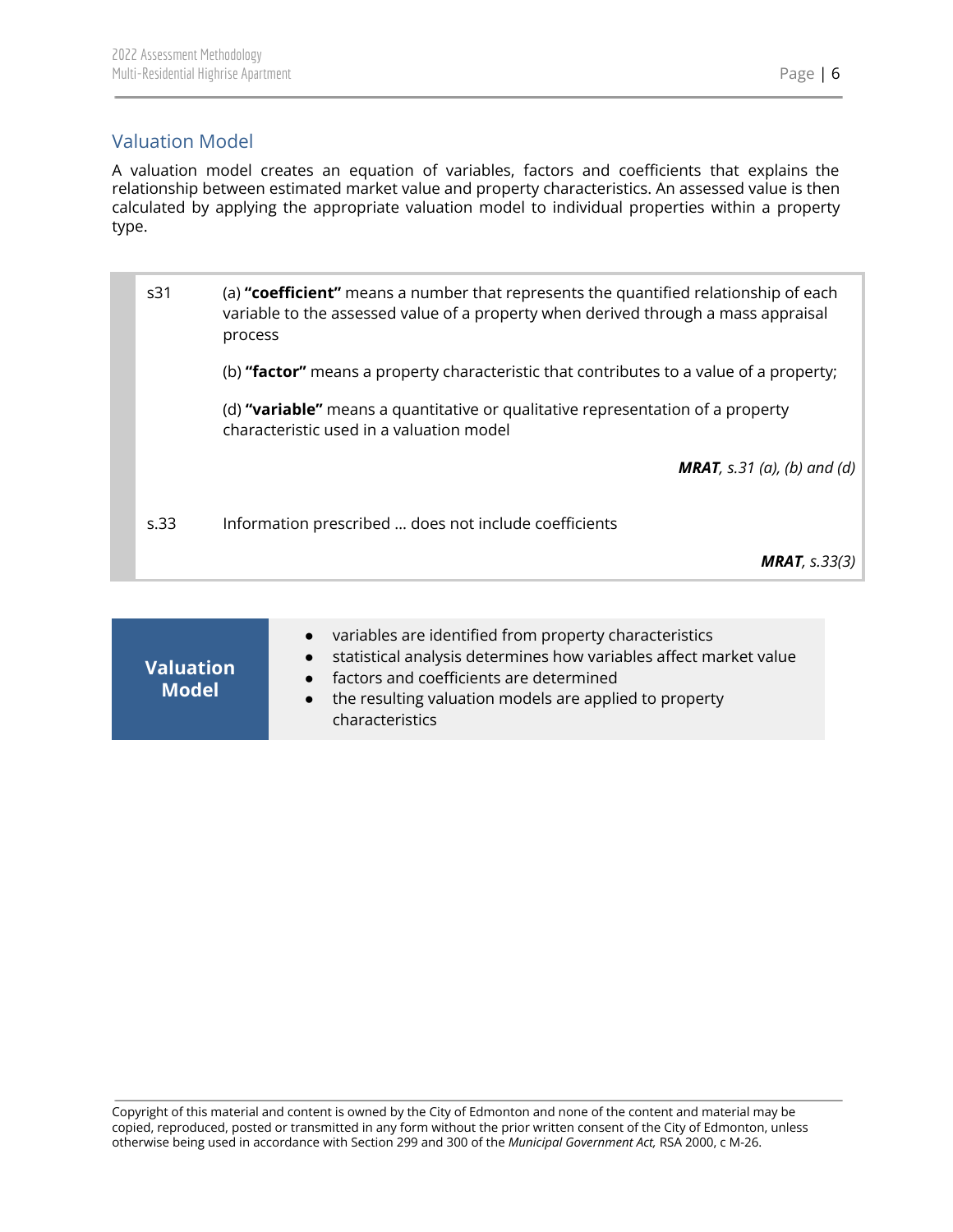<span id="page-6-0"></span>Valuation Model

| s31  | (a) "coefficient" means a number that represents the quantified relationship of each<br>variable to the assessed value of a property when derived through a mass appraisal<br>process |
|------|---------------------------------------------------------------------------------------------------------------------------------------------------------------------------------------|
|      | (b) "factor" means a property characteristic that contributes to a value of a property;                                                                                               |
|      | (d) "variable" means a quantitative or qualitative representation of a property<br>characteristic used in a valuation model                                                           |
|      | <b>MRAT</b> , s.31 (a), (b) and (d)                                                                                                                                                   |
| s.33 | Information prescribed  does not include coefficients                                                                                                                                 |
|      | <b>MRAT</b> , $s.33(3)$                                                                                                                                                               |

| <b>Valuation</b><br><b>Model</b> | variables are identified from property characteristics<br>$\bullet$<br>statistical analysis determines how variables affect market value<br>$\bullet$<br>factors and coefficients are determined<br>$\bullet$<br>the resulting valuation models are applied to property<br>$\bullet$<br>characteristics |
|----------------------------------|---------------------------------------------------------------------------------------------------------------------------------------------------------------------------------------------------------------------------------------------------------------------------------------------------------|
|----------------------------------|---------------------------------------------------------------------------------------------------------------------------------------------------------------------------------------------------------------------------------------------------------------------------------------------------------|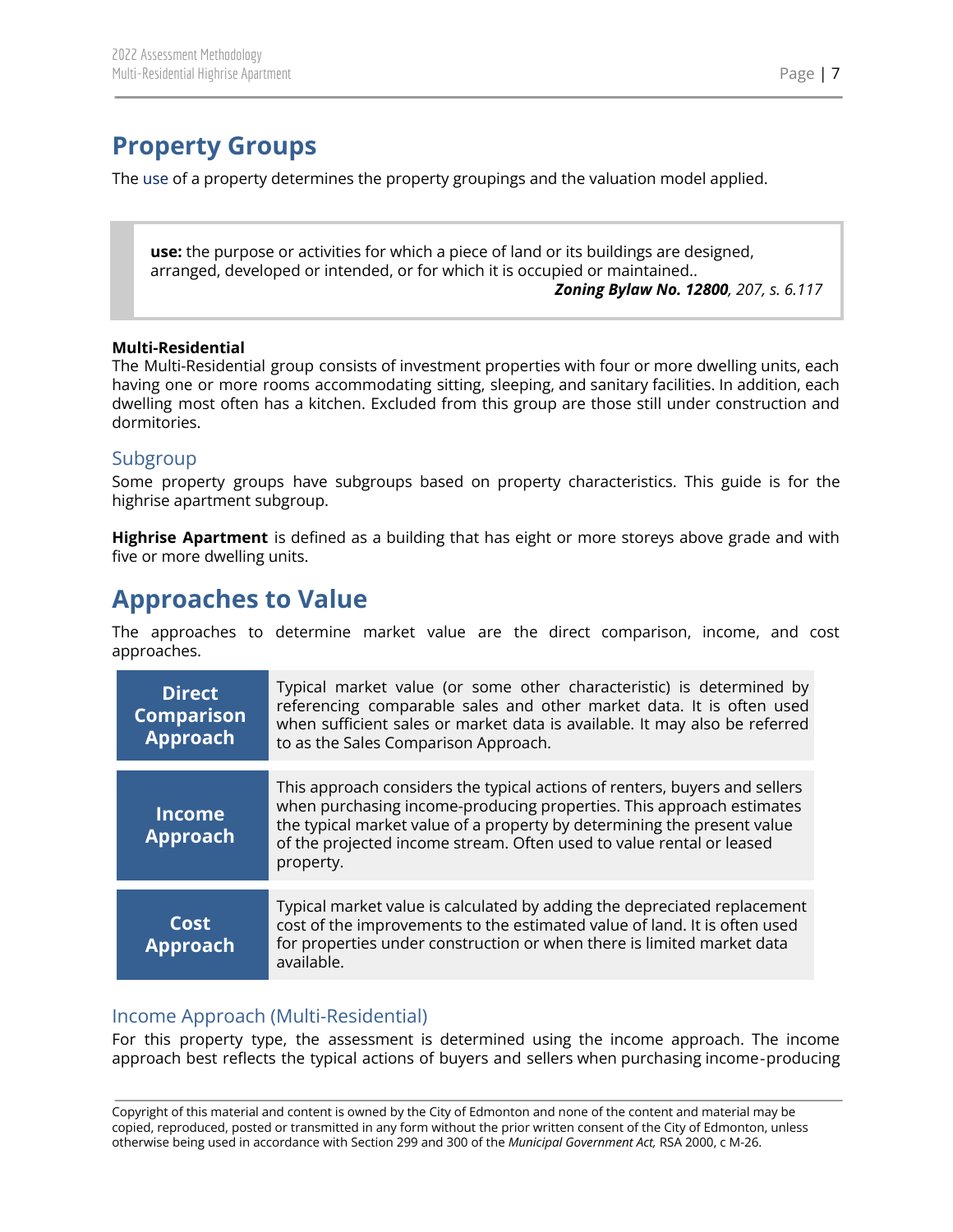# <span id="page-7-0"></span>**Property Groups**

The use of a property determines the property groupings and the valuation model applied.

**use:** the purpose or activities for which a piece of land or its buildings are designed, arranged, developed or intended, or for which it is occupied or maintained.. *Zoning Bylaw No. 12800, 207, s. 6.117*

#### **Multi-Residential**

The Multi-Residential group consists of investment properties with four or more dwelling units, each having one or more rooms accommodating sitting, sleeping, and sanitary facilities. In addition, each dwelling most often has a kitchen. Excluded from this group are those still under construction and dormitories.

### <span id="page-7-1"></span>Subgroup

Some property groups have subgroups based on property characteristics. This guide is for the highrise apartment subgroup.

**Highrise Apartment** is defined as a building that has eight or more storeys above grade and with five or more dwelling units.

## <span id="page-7-2"></span>**Approaches to Value**

The approaches to determine market value are the direct comparison, income, and cost approaches.

| <b>Direct</b><br><b>Comparison</b><br><b>Approach</b> | Typical market value (or some other characteristic) is determined by<br>referencing comparable sales and other market data. It is often used<br>when sufficient sales or market data is available. It may also be referred<br>to as the Sales Comparison Approach.                                                 |
|-------------------------------------------------------|--------------------------------------------------------------------------------------------------------------------------------------------------------------------------------------------------------------------------------------------------------------------------------------------------------------------|
| <b>Income</b><br><b>Approach</b>                      | This approach considers the typical actions of renters, buyers and sellers<br>when purchasing income-producing properties. This approach estimates<br>the typical market value of a property by determining the present value<br>of the projected income stream. Often used to value rental or leased<br>property. |
| Cost<br><b>Approach</b>                               | Typical market value is calculated by adding the depreciated replacement<br>cost of the improvements to the estimated value of land. It is often used<br>for properties under construction or when there is limited market data<br>available.                                                                      |

## <span id="page-7-3"></span>Income Approach (Multi-Residential)

For this property type, the assessment is determined using the income approach. The income approach best reflects the typical actions of buyers and sellers when purchasing income‐producing

Copyright of this material and content is owned by the City of Edmonton and none of the content and material may be copied, reproduced, posted or transmitted in any form without the prior written consent of the City of Edmonton, unless otherwise being used in accordance with Section 299 and 300 of the *Municipal Government Act,* RSA 2000, c M-26.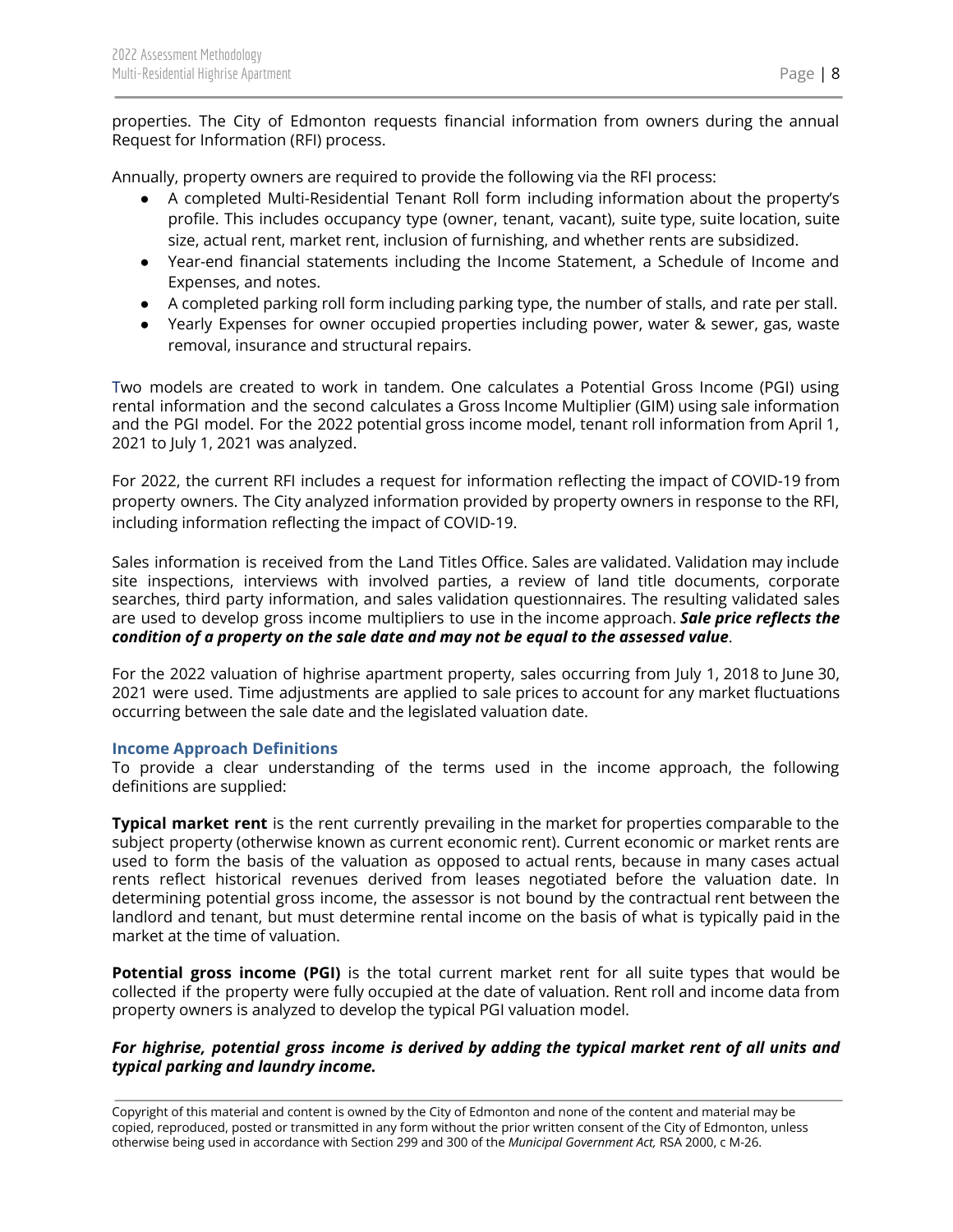properties. The City of Edmonton requests financial information from owners during the annual Request for Information (RFI) process.

Annually, property owners are required to provide the following via the RFI process:

- A completed Multi-Residential Tenant Roll form including information about the property's profile. This includes occupancy type (owner, tenant, vacant), suite type, suite location, suite size, actual rent, market rent, inclusion of furnishing, and whether rents are subsidized.
- Year-end financial statements including the Income Statement, a Schedule of Income and Expenses, and notes.
- A completed parking roll form including parking type, the number of stalls, and rate per stall.
- Yearly Expenses for owner occupied properties including power, water & sewer, gas, waste removal, insurance and structural repairs.

Two models are created to work in tandem. One calculates a Potential Gross Income (PGI) using rental information and the second calculates a Gross Income Multiplier (GIM) using sale information and the PGI model. For the 2022 potential gross income model, tenant roll information from April 1, 2021 to July 1, 2021 was analyzed.

For 2022, the current RFI includes a request for information reflecting the impact of COVID-19 from property owners. The City analyzed information provided by property owners in response to the RFI, including information reflecting the impact of COVID-19.

Sales information is received from the Land Titles Office. Sales are validated. Validation may include site inspections, interviews with involved parties, a review of land title documents, corporate searches, third party information, and sales validation questionnaires. The resulting validated sales are used to develop gross income multipliers to use in the income approach. *Sale price reflects the condition of a property on the sale date and may not be equal to the assessed value*.

For the 2022 valuation of highrise apartment property, sales occurring from July 1, 2018 to June 30, 2021 were used. Time adjustments are applied to sale prices to account for any market fluctuations occurring between the sale date and the legislated valuation date.

#### <span id="page-8-0"></span>**Income Approach Definitions**

To provide a clear understanding of the terms used in the income approach, the following definitions are supplied:

**Typical market rent** is the rent currently prevailing in the market for properties comparable to the subject property (otherwise known as current economic rent). Current economic or market rents are used to form the basis of the valuation as opposed to actual rents, because in many cases actual rents reflect historical revenues derived from leases negotiated before the valuation date. In determining potential gross income, the assessor is not bound by the contractual rent between the landlord and tenant, but must determine rental income on the basis of what is typically paid in the market at the time of valuation.

**Potential gross income (PGI)** is the total current market rent for all suite types that would be collected if the property were fully occupied at the date of valuation. Rent roll and income data from property owners is analyzed to develop the typical PGI valuation model.

#### *For highrise, potential gross income is derived by adding the typical market rent of all units and typical parking and laundry income.*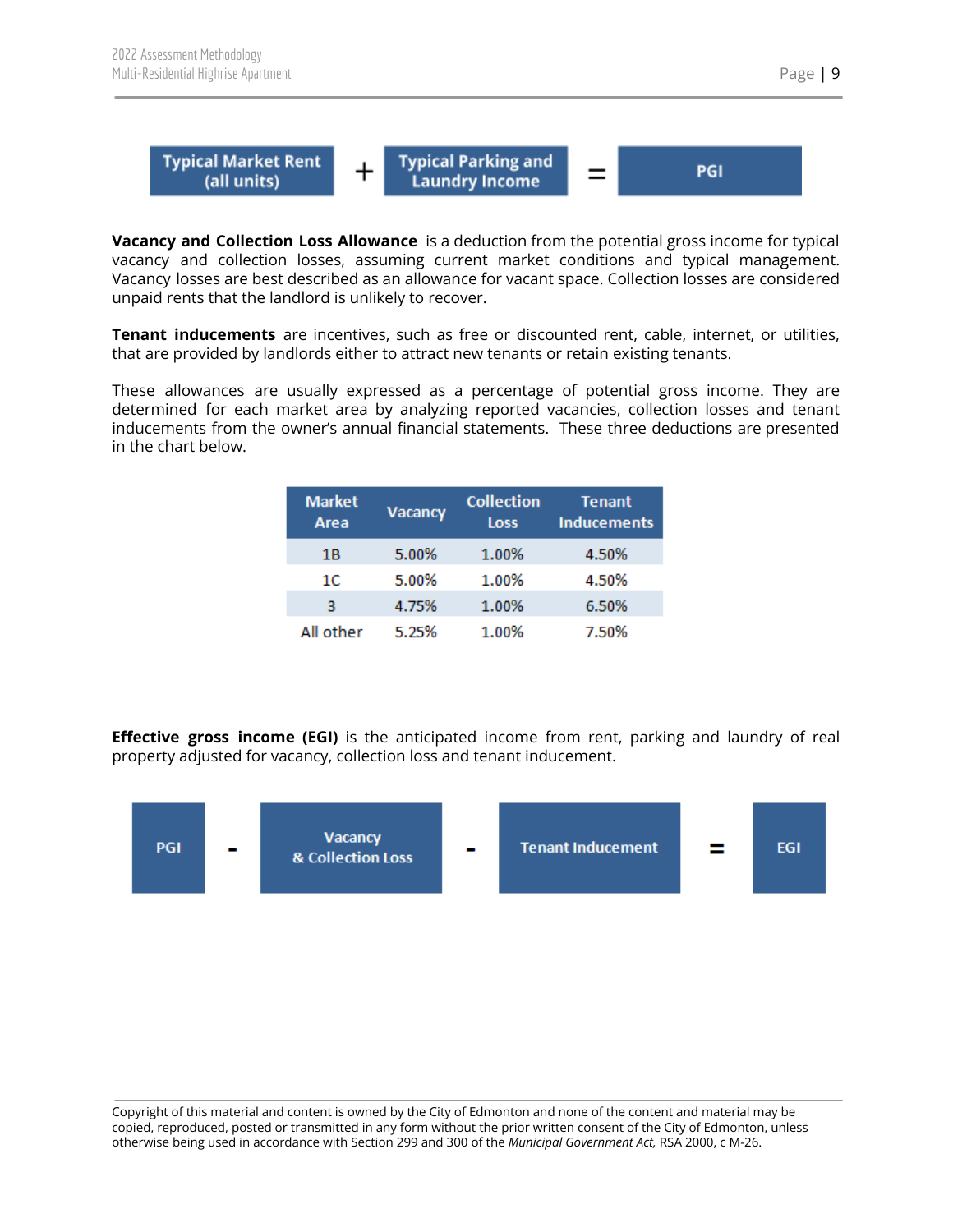

**Vacancy and Collection Loss Allowance** is a deduction from the potential gross income for typical vacancy and collection losses, assuming current market conditions and typical management. Vacancy losses are best described as an allowance for vacant space. Collection losses are considered unpaid rents that the landlord is unlikely to recover.

**Tenant inducements** are incentives, such as free or discounted rent, cable, internet, or utilities, that are provided by landlords either to attract new tenants or retain existing tenants.

These allowances are usually expressed as a percentage of potential gross income. They are determined for each market area by analyzing reported vacancies, collection losses and tenant inducements from the owner's annual financial statements. These three deductions are presented in the chart below.

| <b>Market</b><br><b>Area</b> | Vacancy | <b>Collection</b><br><b>Loss</b> | <b>Tenant</b><br><b>Inducements</b> |
|------------------------------|---------|----------------------------------|-------------------------------------|
| 1Β                           | 5.00%   | 1.00%                            | 4.50%                               |
| 1С                           | 5.00%   | 1.00%                            | 4.50%                               |
| 3                            | 4.75%   | 1.00%                            | 6.50%                               |
| All other                    | 5.25%   | 1.00%                            | 7.50%                               |

**Effective gross income (EGI)** is the anticipated income from rent, parking and laundry of real property adjusted for vacancy, collection loss and tenant inducement.

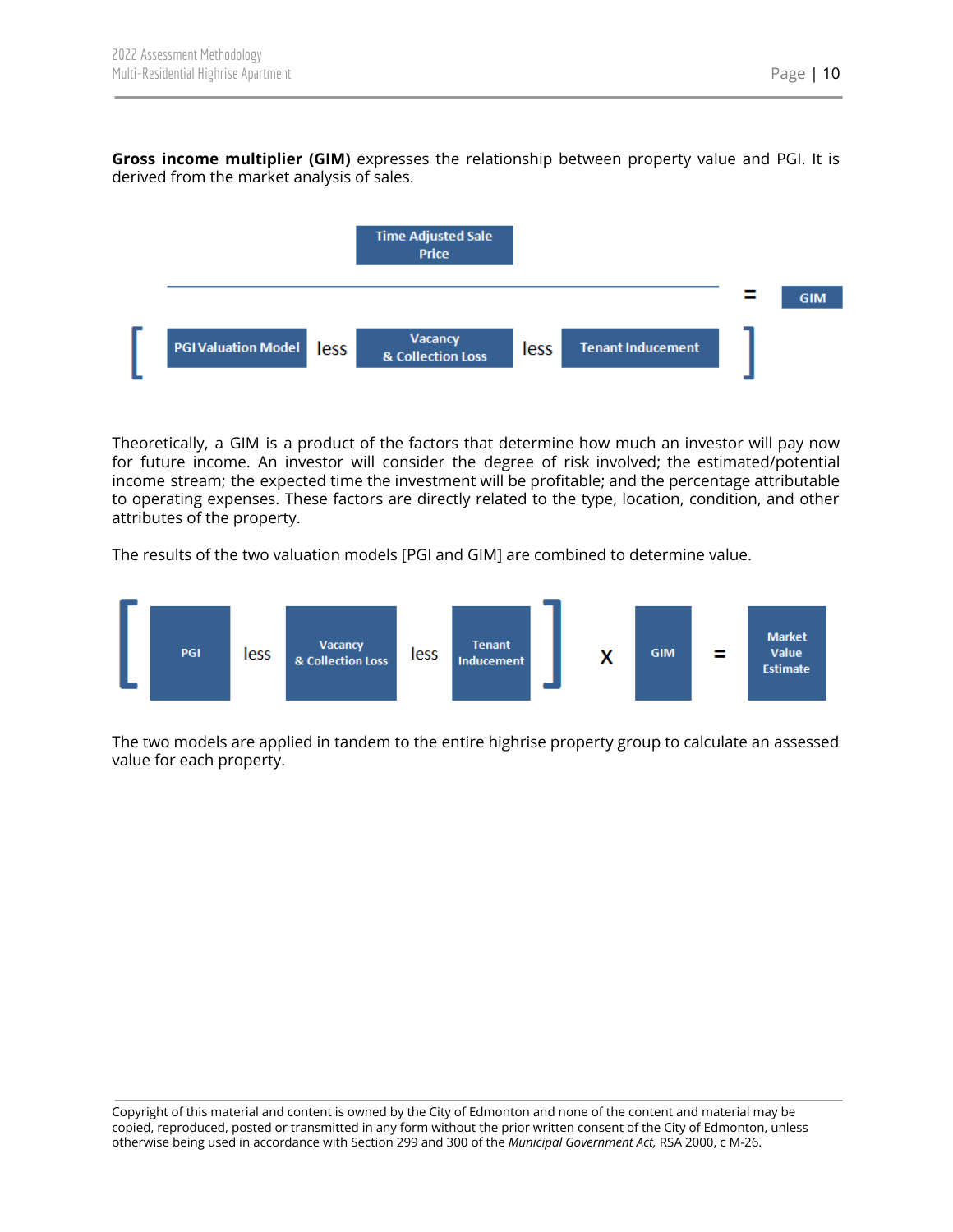**Gross income multiplier (GIM)** expresses the relationship between property value and PGI. It is derived from the market analysis of sales.



Theoretically, a GIM is a product of the factors that determine how much an investor will pay now for future income. An investor will consider the degree of risk involved; the estimated/potential income stream; the expected time the investment will be profitable; and the percentage attributable to operating expenses. These factors are directly related to the type, location, condition, and other attributes of the property.

The results of the two valuation models [PGI and GIM] are combined to determine value.



The two models are applied in tandem to the entire highrise property group to calculate an assessed value for each property.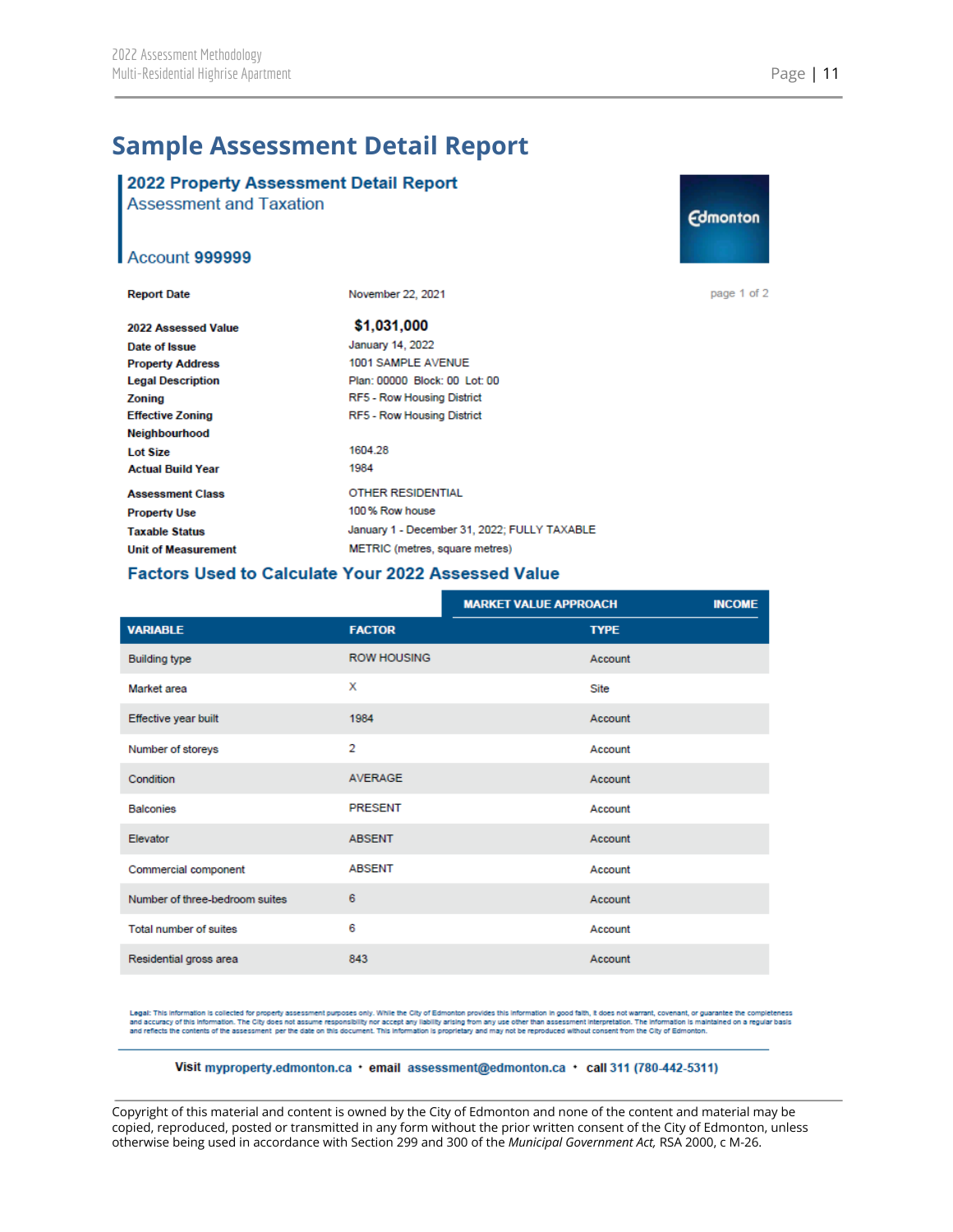## <span id="page-11-0"></span>**Sample Assessment Detail Report**

## 2022 Property Assessment Detail Report

**Assessment and Taxation** 

#### Account 999999

| <b>Report Date</b>         | November 22, 2021                            |
|----------------------------|----------------------------------------------|
| 2022 Assessed Value        | \$1.031,000                                  |
| Date of Issue              | January 14, 2022                             |
| <b>Property Address</b>    | 1001 SAMPLE AVENUE                           |
| <b>Legal Description</b>   | Plan: 00000 Block: 00 Lot: 00                |
| Zoning                     | RF5 - Row Housing District                   |
| <b>Effective Zoning</b>    | RF5 - Row Housing District                   |
| <b>Neighbourhood</b>       |                                              |
| <b>Lot Size</b>            | 1604.28                                      |
| <b>Actual Build Year</b>   | 1984                                         |
| <b>Assessment Class</b>    | <b>OTHER RESIDENTIAL</b>                     |
| <b>Property Use</b>        | 100% Row house                               |
| <b>Taxable Status</b>      | January 1 - December 31, 2022: FULLY TAXABLE |
| <b>Unit of Measurement</b> | METRIC (metres, square metres)               |

# **Edmonton**

page 1 of 2

#### Factors Used to Calculate Your 2022 Assessed Value

|                                |                    | <b>MARKET VALUE APPROACH</b> | <b>INCOME</b> |
|--------------------------------|--------------------|------------------------------|---------------|
| <b>VARIABLE</b>                | <b>FACTOR</b>      | <b>TYPE</b>                  |               |
| <b>Building type</b>           | <b>ROW HOUSING</b> | Account                      |               |
| Market area                    | X                  | Site                         |               |
| Effective year built           | 1984               | Account                      |               |
| Number of storeys              | $\overline{2}$     | Account                      |               |
| Condition                      | <b>AVERAGE</b>     | Account                      |               |
| <b>Balconies</b>               | <b>PRESENT</b>     | Account                      |               |
| Elevator                       | <b>ABSENT</b>      | Account                      |               |
| Commercial component           | <b>ABSENT</b>      | Account                      |               |
| Number of three-bedroom suites | 6                  | Account                      |               |
| Total number of suites         | 6                  | Account                      |               |
| Residential gross area         | 843                | Account                      |               |

Legal: This information is collected for property assessment purposes only. While the City of Edmonton provides this information in good faith, it does not warrant, covenant, or guarantee the completeness<br>and accuracy of t

#### Visit myproperty.edmonton.ca · email assessment@edmonton.ca · call 311 (780-442-5311)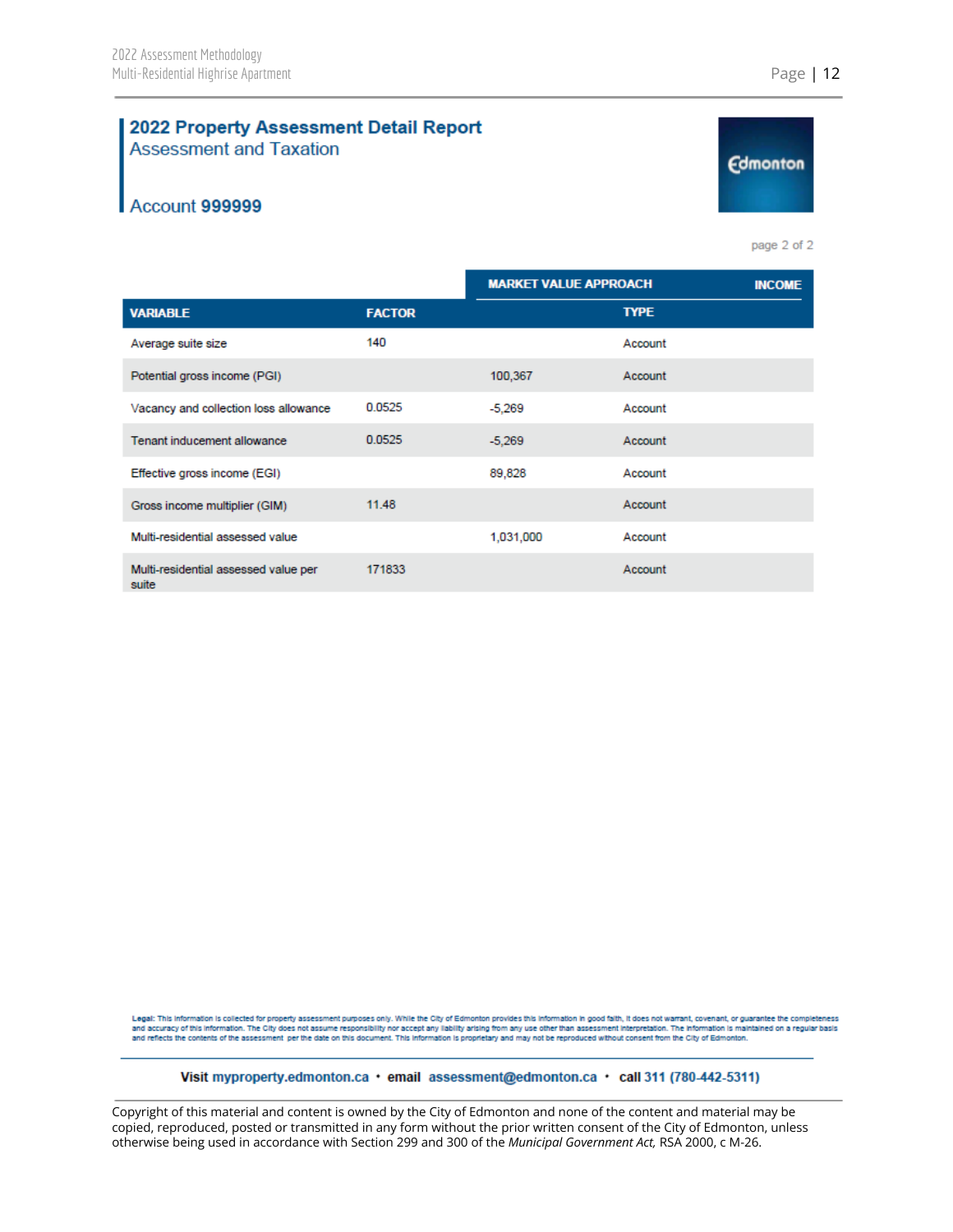#### 2022 Property Assessment Detail Report **Assessment and Taxation**

### Account 999999

page 2 of 2

**Edmonton** 

|                                               |               | <b>MARKET VALUE APPROACH</b> |             | <b>INCOME</b> |
|-----------------------------------------------|---------------|------------------------------|-------------|---------------|
| <b>VARIABLE</b>                               | <b>FACTOR</b> |                              | <b>TYPE</b> |               |
| Average suite size                            | 140           |                              | Account     |               |
| Potential gross income (PGI)                  |               | 100,367                      | Account     |               |
| Vacancy and collection loss allowance         | 0.0525        | $-5,269$                     | Account     |               |
| Tenant inducement allowance                   | 0.0525        | $-5,269$                     | Account     |               |
| Effective gross income (EGI)                  |               | 89,828                       | Account     |               |
| Gross income multiplier (GIM)                 | 11.48         |                              | Account     |               |
| Multi-residential assessed value              |               | 1,031,000                    | Account     |               |
| Multi-residential assessed value per<br>suite | 171833        |                              | Account     |               |

Legal: This information is collected for property assessment purposes only. While the City of Edmonton provides this information in good faith, it does not warrant, covenant, or guarantee the completeness<br>and accuracy of t and reflects the contents of the assessment per the date on this document. This information is proprietary and may not be reproduced without consent from the City of Edmonton.

#### Visit myproperty.edmonton.ca · email assessment@edmonton.ca · call 311 (780-442-5311)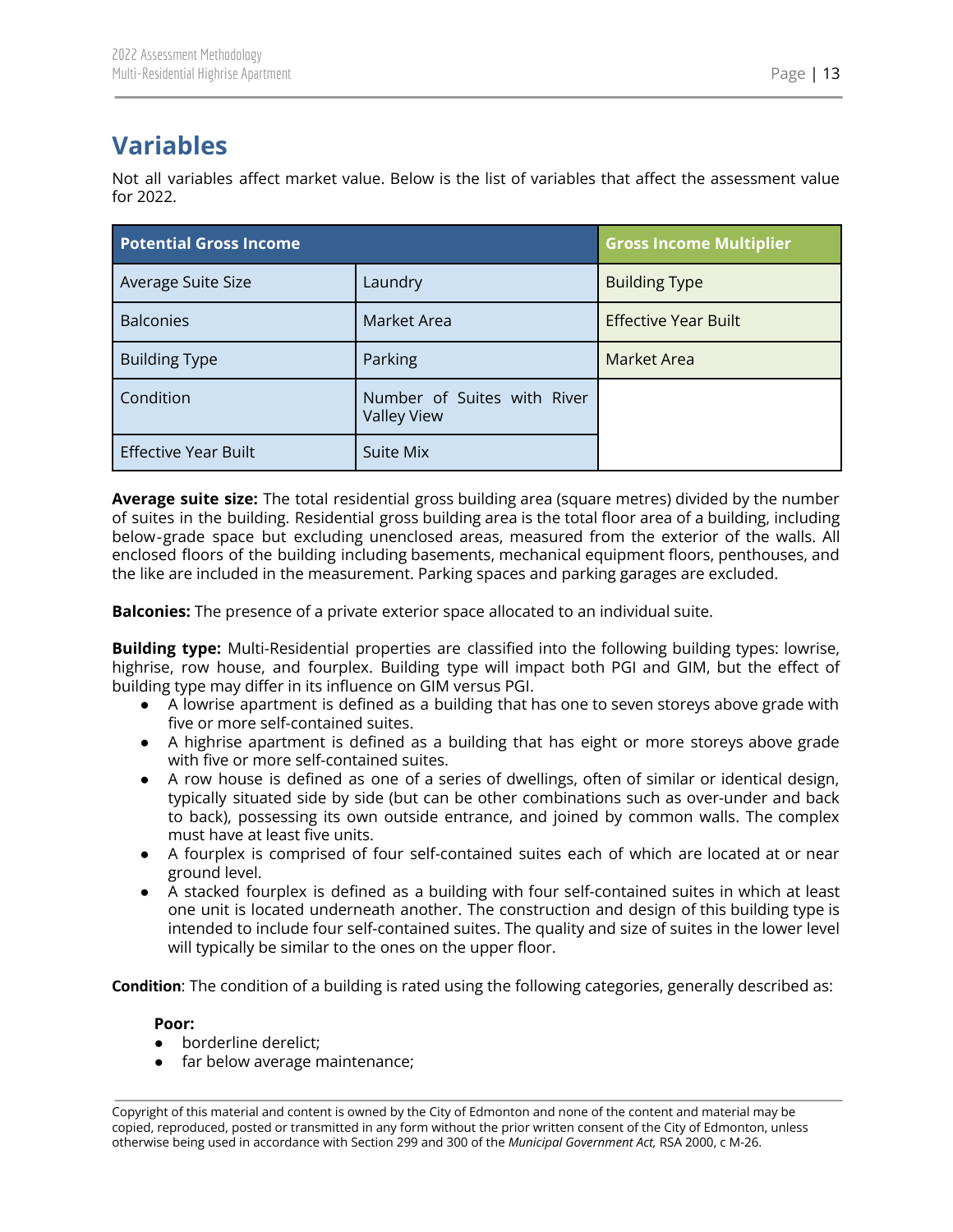# <span id="page-13-0"></span>**Variables**

Not all variables affect market value. Below is the list of variables that affect the assessment value for 2022.

| <b>Potential Gross Income</b> |                                                   | <b>Gross Income Multiplier</b> |
|-------------------------------|---------------------------------------------------|--------------------------------|
| Average Suite Size            | Laundry                                           | <b>Building Type</b>           |
| <b>Balconies</b>              | Market Area                                       | <b>Effective Year Built</b>    |
| <b>Building Type</b>          | Parking                                           | <b>Market Area</b>             |
| Condition                     | Number of Suites with River<br><b>Valley View</b> |                                |
| <b>Effective Year Built</b>   | Suite Mix                                         |                                |

**Average suite size:** The total residential gross building area (square metres) divided by the number of suites in the building. Residential gross building area is the total floor area of a building, including below‐grade space but excluding unenclosed areas, measured from the exterior of the walls. All enclosed floors of the building including basements, mechanical equipment floors, penthouses, and the like are included in the measurement. Parking spaces and parking garages are excluded.

**Balconies:** The presence of a private exterior space allocated to an individual suite.

**Building type:** Multi-Residential properties are classified into the following building types: lowrise, highrise, row house, and fourplex. Building type will impact both PGI and GIM, but the effect of building type may differ in its influence on GIM versus PGI.

- A lowrise apartment is defined as a building that has one to seven storeys above grade with five or more self-contained suites.
- A highrise apartment is defined as a building that has eight or more storeys above grade with five or more self-contained suites.
- A row house is defined as one of a series of dwellings, often of similar or identical design, typically situated side by side (but can be other combinations such as over-under and back to back), possessing its own outside entrance, and joined by common walls. The complex must have at least five units.
- A fourplex is comprised of four self-contained suites each of which are located at or near ground level.
- A stacked fourplex is defined as a building with four self-contained suites in which at least one unit is located underneath another. The construction and design of this building type is intended to include four self-contained suites. The quality and size of suites in the lower level will typically be similar to the ones on the upper floor.

**Condition**: The condition of a building is rated using the following categories, generally described as:

#### **Poor:**

- borderline derelict;
- far below average maintenance;

Copyright of this material and content is owned by the City of Edmonton and none of the content and material may be copied, reproduced, posted or transmitted in any form without the prior written consent of the City of Edmonton, unless otherwise being used in accordance with Section 299 and 300 of the *Municipal Government Act,* RSA 2000, c M-26.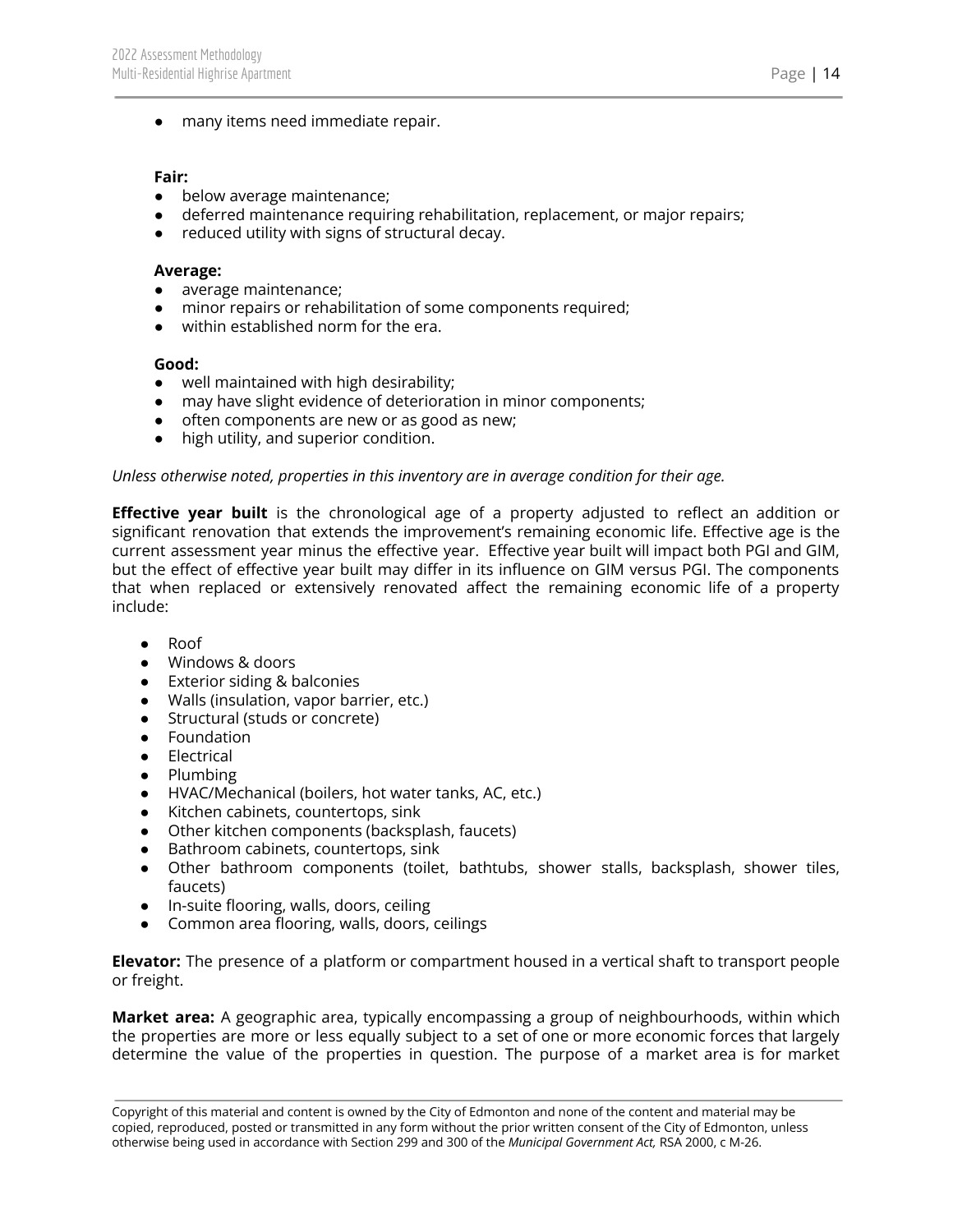● many items need immediate repair.

#### **Fair:**

- below average maintenance;
- deferred maintenance requiring rehabilitation, replacement, or major repairs;
- reduced utility with signs of structural decay.

#### **Average:**

- average maintenance;
- minor repairs or rehabilitation of some components required;
- within established norm for the era.

#### **Good:**

- well maintained with high desirability;
- may have slight evidence of deterioration in minor components;
- often components are new or as good as new;
- high utility, and superior condition.

#### *Unless otherwise noted, properties in this inventory are in average condition for their age.*

**Effective year built** is the chronological age of a property adjusted to reflect an addition or significant renovation that extends the improvement's remaining economic life. Effective age is the current assessment year minus the effective year. Effective year built will impact both PGI and GIM, but the effect of effective year built may differ in its influence on GIM versus PGI. The components that when replaced or extensively renovated affect the remaining economic life of a property include:

- Roof
- Windows & doors
- Exterior siding & balconies
- Walls (insulation, vapor barrier, etc.)
- Structural (studs or concrete)
- Foundation
- Electrical
- Plumbing
- HVAC/Mechanical (boilers, hot water tanks, AC, etc.)
- Kitchen cabinets, countertops, sink
- Other kitchen components (backsplash, faucets)
- Bathroom cabinets, countertops, sink
- Other bathroom components (toilet, bathtubs, shower stalls, backsplash, shower tiles, faucets)
- In-suite flooring, walls, doors, ceiling
- Common area flooring, walls, doors, ceilings

**Elevator:** The presence of a platform or compartment housed in a vertical shaft to transport people or freight.

**Market area:** A geographic area, typically encompassing a group of neighbourhoods, within which the properties are more or less equally subject to a set of one or more economic forces that largely determine the value of the properties in question. The purpose of a market area is for market

Copyright of this material and content is owned by the City of Edmonton and none of the content and material may be copied, reproduced, posted or transmitted in any form without the prior written consent of the City of Edmonton, unless otherwise being used in accordance with Section 299 and 300 of the *Municipal Government Act,* RSA 2000, c M-26.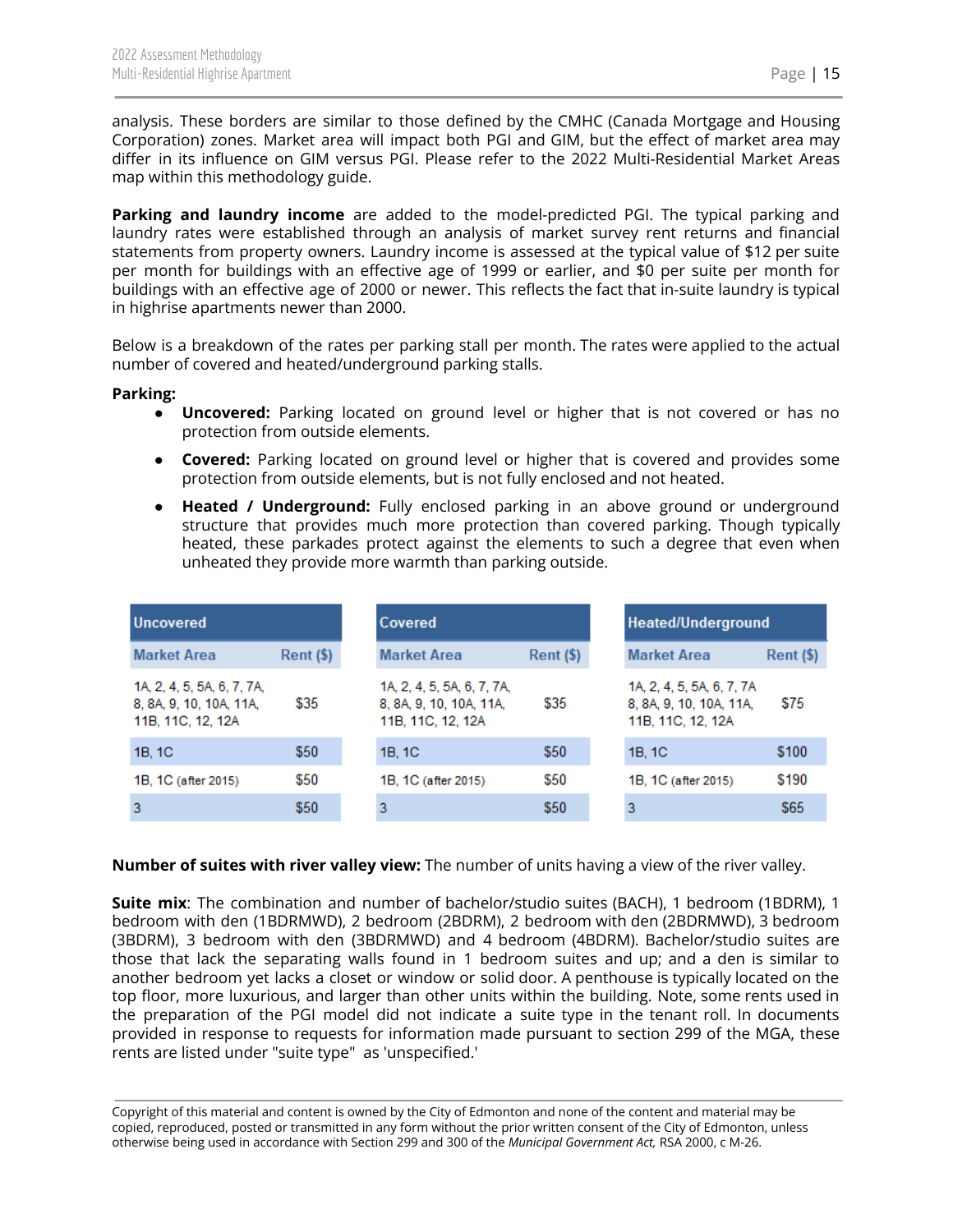analysis. These borders are similar to those defined by the CMHC (Canada Mortgage and Housing Corporation) zones. Market area will impact both PGI and GIM, but the effect of market area may differ in its influence on GIM versus PGI. Please refer to the 2022 Multi-Residential Market Areas map within this methodology guide.

**Parking and laundry income** are added to the model-predicted PGI. The typical parking and laundry rates were established through an analysis of market survey rent returns and financial statements from property owners. Laundry income is assessed at the typical value of \$12 per suite per month for buildings with an effective age of 1999 or earlier, and \$0 per suite per month for buildings with an effective age of 2000 or newer. This reflects the fact that in-suite laundry is typical in highrise apartments newer than 2000.

Below is a breakdown of the rates per parking stall per month. The rates were applied to the actual number of covered and heated/underground parking stalls.

#### **Parking:**

- **Uncovered:** Parking located on ground level or higher that is not covered or has no protection from outside elements.
- **Covered:** Parking located on ground level or higher that is covered and provides some protection from outside elements, but is not fully enclosed and not heated.
- **Heated** / **Underground:** Fully enclosed parking in an above ground or underground structure that provides much more protection than covered parking. Though typically heated, these parkades protect against the elements to such a degree that even when unheated they provide more warmth than parking outside.

| <b>Uncovered</b>                                                           |                      | Covered                                                                    |                      |                                                                           |
|----------------------------------------------------------------------------|----------------------|----------------------------------------------------------------------------|----------------------|---------------------------------------------------------------------------|
| <b>Market Area</b>                                                         | $\mathsf{Rent}$ (\$) | <b>Market Area</b>                                                         | $\mathsf{Rent}$ (\$) | <b>Market Area</b>                                                        |
| 1A, 2, 4, 5, 5A, 6, 7, 7A,<br>8, 8A, 9, 10, 10A, 11A,<br>11B, 11C, 12, 12A | \$35                 | 1A, 2, 4, 5, 5A, 6, 7, 7A,<br>8, 8A, 9, 10, 10A, 11A,<br>11B, 11C, 12, 12A | \$35                 | 1A, 2, 4, 5, 5A, 6, 7, 7A<br>8, 8A, 9, 10, 10A, 11A,<br>11B, 11C, 12, 12A |
| 1B, 1C                                                                     | \$50                 | 1B, 1C                                                                     | \$50                 | 1B, 1C                                                                    |
| 1B, 1C (after 2015)                                                        | \$50                 | 1B, 1C (after 2015)                                                        | \$50                 | 1B, 1C (after 2015)                                                       |
|                                                                            | \$50                 |                                                                            | \$50                 | 3                                                                         |

#### **Number of suites with river valley view:** The number of units having a view of the river valley.

**Suite mix**: The combination and number of bachelor/studio suites (BACH), 1 bedroom (1BDRM), 1 bedroom with den (1BDRMWD), 2 bedroom (2BDRM), 2 bedroom with den (2BDRMWD), 3 bedroom (3BDRM), 3 bedroom with den (3BDRMWD) and 4 bedroom (4BDRM). Bachelor/studio suites are those that lack the separating walls found in 1 bedroom suites and up; and a den is similar to another bedroom yet lacks a closet or window or solid door. A penthouse is typically located on the top floor, more luxurious, and larger than other units within the building. Note, some rents used in the preparation of the PGI model did not indicate a suite type in the tenant roll. In documents provided in response to requests for information made pursuant to section 299 of the MGA, these rents are listed under "suite type" as 'unspecified.'

Copyright of this material and content is owned by the City of Edmonton and none of the content and material may be copied, reproduced, posted or transmitted in any form without the prior written consent of the City of Edmonton, unless otherwise being used in accordance with Section 299 and 300 of the *Municipal Government Act,* RSA 2000, c M-26.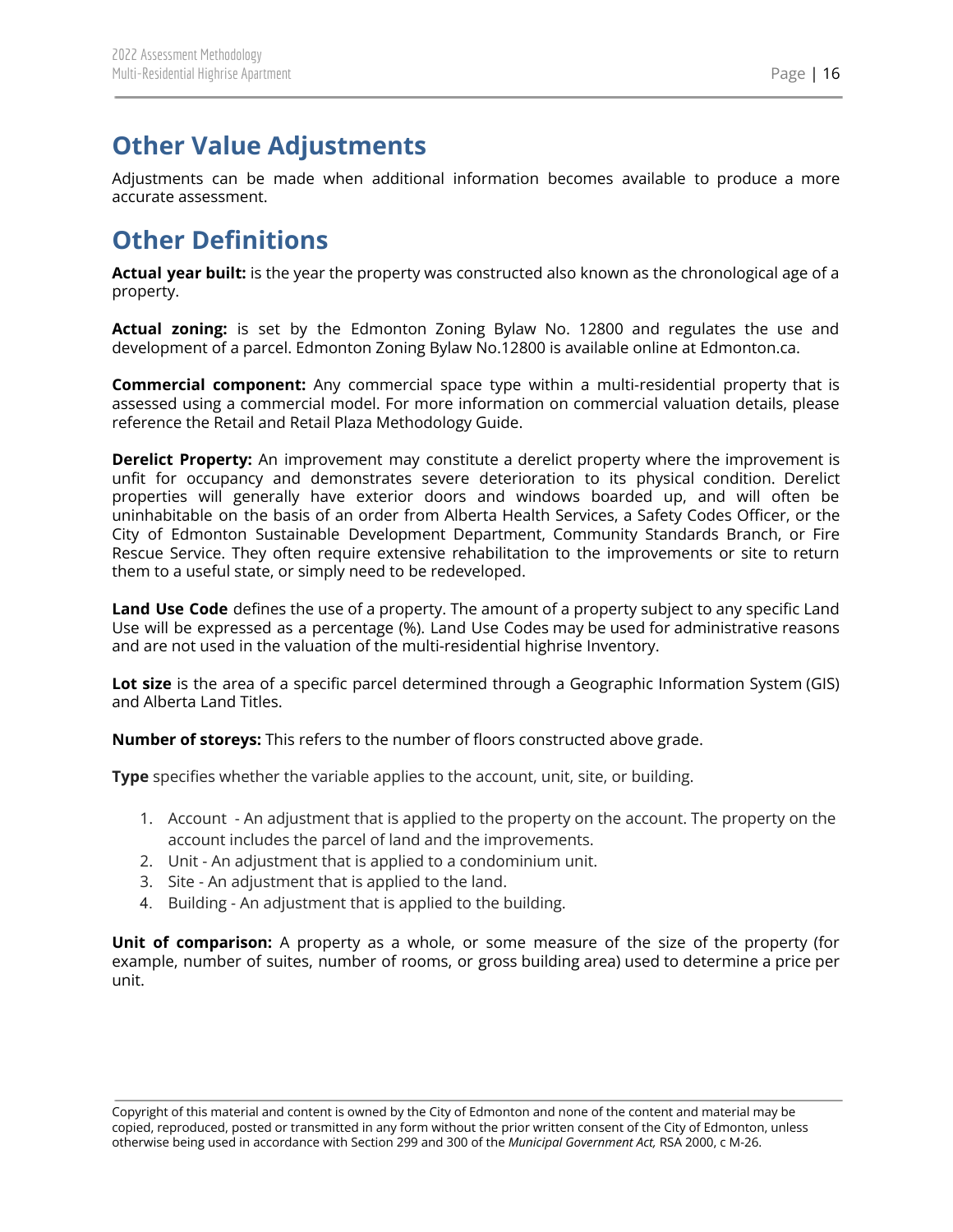## <span id="page-16-0"></span>**Other Value Adjustments**

Adjustments can be made when additional information becomes available to produce a more accurate assessment.

# <span id="page-16-1"></span>**Other Definitions**

**Actual year built:** is the year the property was constructed also known as the chronological age of a property.

**Actual zoning:** is set by the Edmonton Zoning Bylaw No. 12800 and regulates the use and development of a parcel. Edmonton Zoning Bylaw No.12800 is available online at Edmonton.ca.

**Commercial component:** Any commercial space type within a multi-residential property that is assessed using a commercial model. For more information on commercial valuation details, please reference the Retail and Retail Plaza Methodology Guide.

**Derelict Property:** An improvement may constitute a derelict property where the improvement is unfit for occupancy and demonstrates severe deterioration to its physical condition. Derelict properties will generally have exterior doors and windows boarded up, and will often be uninhabitable on the basis of an order from Alberta Health Services, a Safety Codes Officer, or the City of Edmonton Sustainable Development Department, Community Standards Branch, or Fire Rescue Service. They often require extensive rehabilitation to the improvements or site to return them to a useful state, or simply need to be redeveloped.

**Land Use Code** defines the use of a property. The amount of a property subject to any specific Land Use will be expressed as a percentage (%). Land Use Codes may be used for administrative reasons and are not used in the valuation of the multi-residential highrise Inventory.

**Lot size** is the area of a specific parcel determined through a Geographic Information System (GIS) and Alberta Land Titles.

**Number of storeys:** This refers to the number of floors constructed above grade.

**Type** specifies whether the variable applies to the account, unit, site, or building.

- 1. Account An adjustment that is applied to the property on the account. The property on the account includes the parcel of land and the improvements.
- 2. Unit An adjustment that is applied to a condominium unit.
- 3. Site An adjustment that is applied to the land.
- 4. Building An adjustment that is applied to the building.

**Unit of comparison:** A property as a whole, or some measure of the size of the property (for example, number of suites, number of rooms, or gross building area) used to determine a price per unit.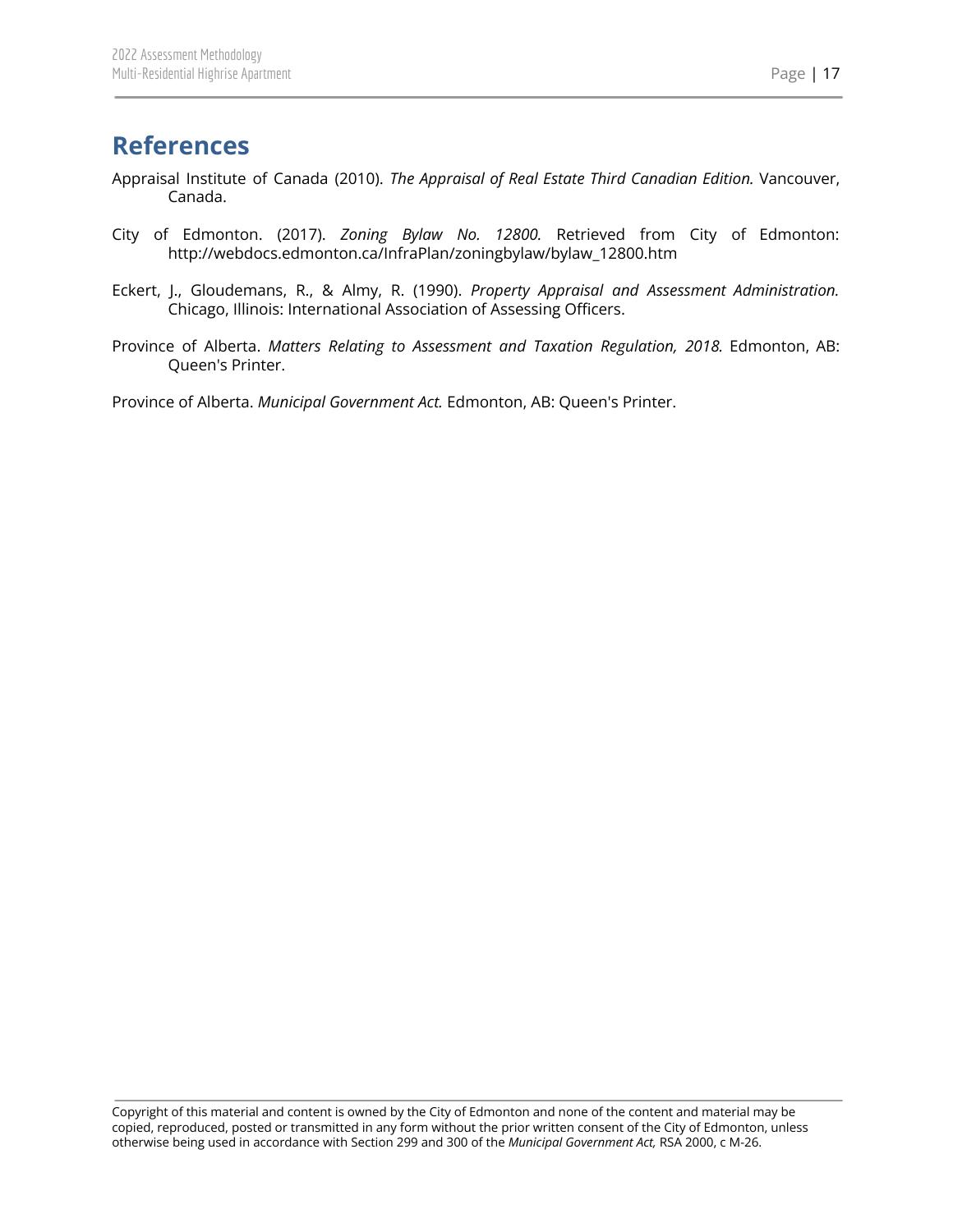## <span id="page-17-0"></span>**References**

- Appraisal Institute of Canada (2010). *The Appraisal of Real Estate Third Canadian Edition.* Vancouver, Canada.
- City of Edmonton. (2017). *Zoning Bylaw No. 12800.* Retrieved from City of Edmonton: http://webdocs.edmonton.ca/InfraPlan/zoningbylaw/bylaw\_12800.htm
- Eckert, J., Gloudemans, R., & Almy, R. (1990). *Property Appraisal and Assessment Administration.* Chicago, Illinois: International Association of Assessing Officers.
- Province of Alberta. *Matters Relating to Assessment and Taxation Regulation, 2018.* Edmonton, AB: Queen's Printer.

Province of Alberta. *Municipal Government Act.* Edmonton, AB: Queen's Printer.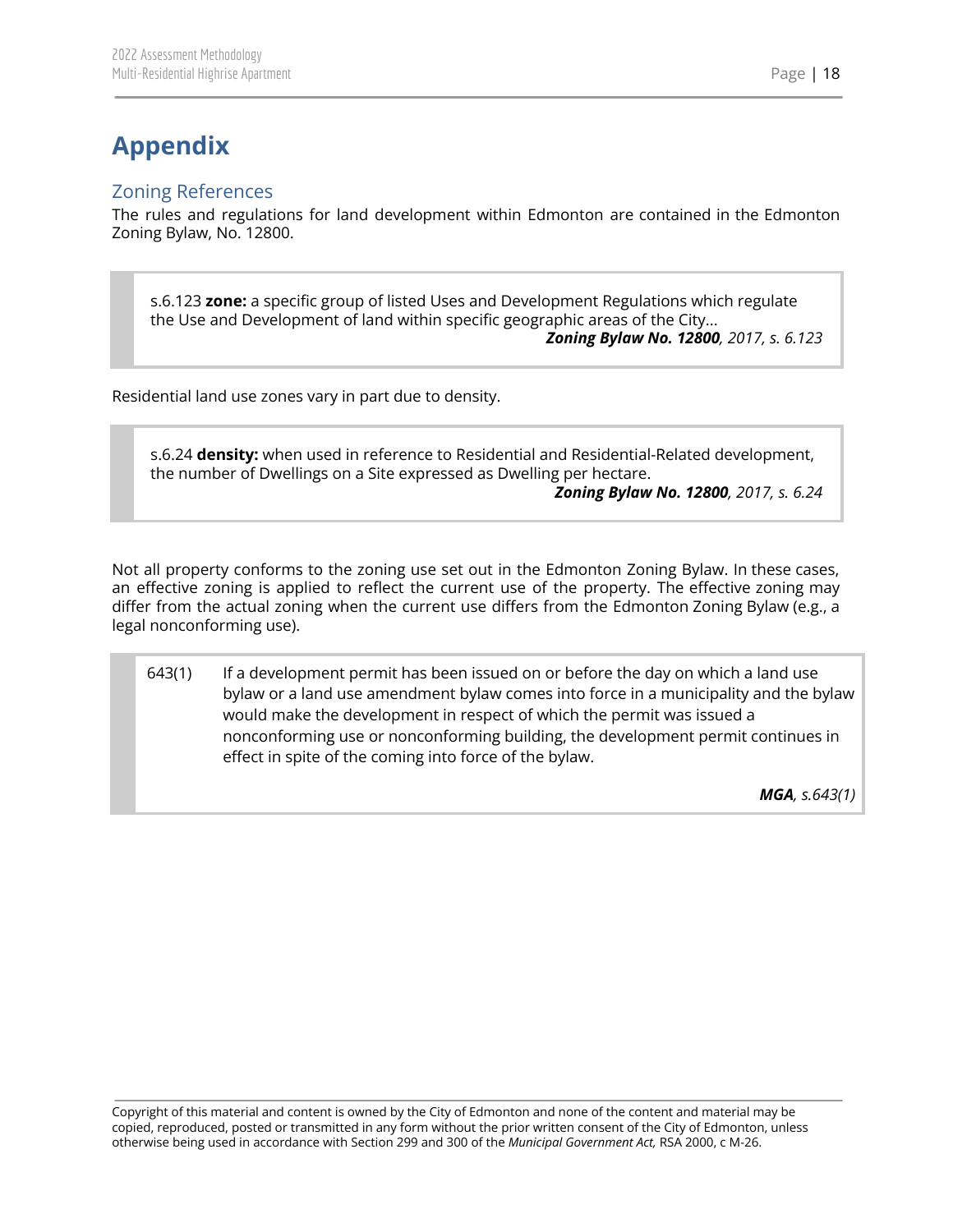# <span id="page-18-0"></span>**Appendix**

## <span id="page-18-1"></span>Zoning References

The rules and regulations for land development within Edmonton are contained in the Edmonton Zoning Bylaw, No. 12800.

s.6.123 **zone:** a specific group of listed Uses and Development Regulations which regulate the Use and Development of land within specific geographic areas of the City... *Zoning Bylaw No. 12800, 2017, s. 6.123*

Residential land use zones vary in part due to density.

s.6.24 **density:** when used in reference to Residential and Residential-Related development, the number of Dwellings on a Site expressed as Dwelling per hectare.

*Zoning Bylaw No. 12800, 2017, s. 6.24*

Not all property conforms to the zoning use set out in the Edmonton Zoning Bylaw. In these cases, an effective zoning is applied to reflect the current use of the property. The effective zoning may differ from the actual zoning when the current use differs from the Edmonton Zoning Bylaw (e.g., a legal nonconforming use).

643(1) If a development permit has been issued on or before the day on which a land use bylaw or a land use amendment bylaw comes into force in a municipality and the bylaw would make the development in respect of which the permit was issued a nonconforming use or nonconforming building, the development permit continues in effect in spite of the coming into force of the bylaw.

*MGA, s.643(1)*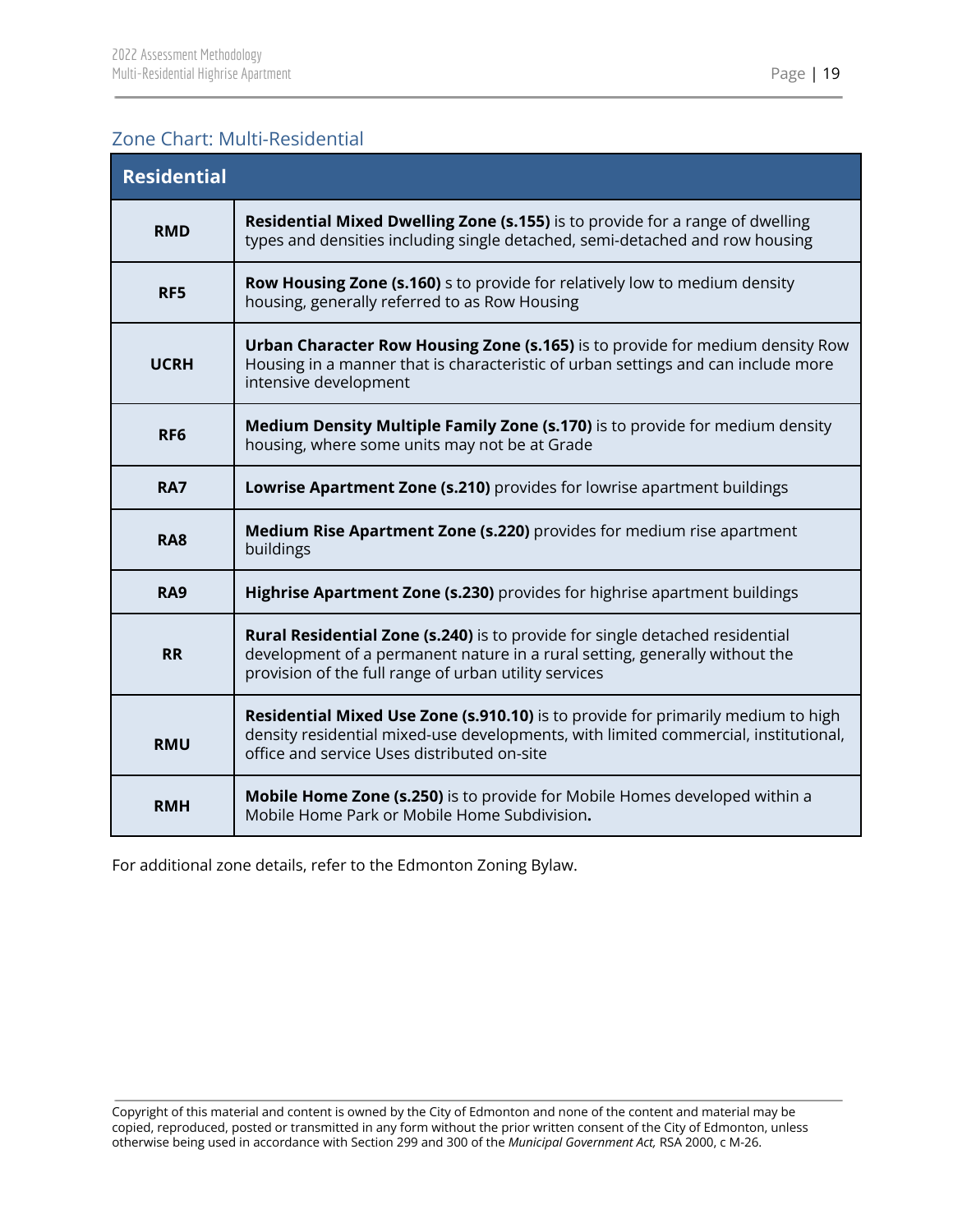## <span id="page-19-0"></span>Zone Chart: Multi-Residential

| <b>Residential</b> |                                                                                                                                                                                                                             |  |  |  |  |
|--------------------|-----------------------------------------------------------------------------------------------------------------------------------------------------------------------------------------------------------------------------|--|--|--|--|
| <b>RMD</b>         | Residential Mixed Dwelling Zone (s.155) is to provide for a range of dwelling<br>types and densities including single detached, semi-detached and row housing                                                               |  |  |  |  |
| RF5                | <b>Row Housing Zone (s.160)</b> s to provide for relatively low to medium density<br>housing, generally referred to as Row Housing                                                                                          |  |  |  |  |
| <b>UCRH</b>        | Urban Character Row Housing Zone (s.165) is to provide for medium density Row<br>Housing in a manner that is characteristic of urban settings and can include more<br>intensive development                                 |  |  |  |  |
| RF <sub>6</sub>    | Medium Density Multiple Family Zone (s.170) is to provide for medium density<br>housing, where some units may not be at Grade                                                                                               |  |  |  |  |
| <b>RA7</b>         | Lowrise Apartment Zone (s.210) provides for lowrise apartment buildings                                                                                                                                                     |  |  |  |  |
| <b>RA8</b>         | <b>Medium Rise Apartment Zone (s.220)</b> provides for medium rise apartment<br>buildings                                                                                                                                   |  |  |  |  |
| <b>RA9</b>         | Highrise Apartment Zone (s.230) provides for highrise apartment buildings                                                                                                                                                   |  |  |  |  |
| <b>RR</b>          | <b>Rural Residential Zone (s.240)</b> is to provide for single detached residential<br>development of a permanent nature in a rural setting, generally without the<br>provision of the full range of urban utility services |  |  |  |  |
| <b>RMU</b>         | Residential Mixed Use Zone (s.910.10) is to provide for primarily medium to high<br>density residential mixed-use developments, with limited commercial, institutional,<br>office and service Uses distributed on-site      |  |  |  |  |
| <b>RMH</b>         | Mobile Home Zone (s.250) is to provide for Mobile Homes developed within a<br>Mobile Home Park or Mobile Home Subdivision.                                                                                                  |  |  |  |  |

For additional zone details, refer to the Edmonton Zoning Bylaw.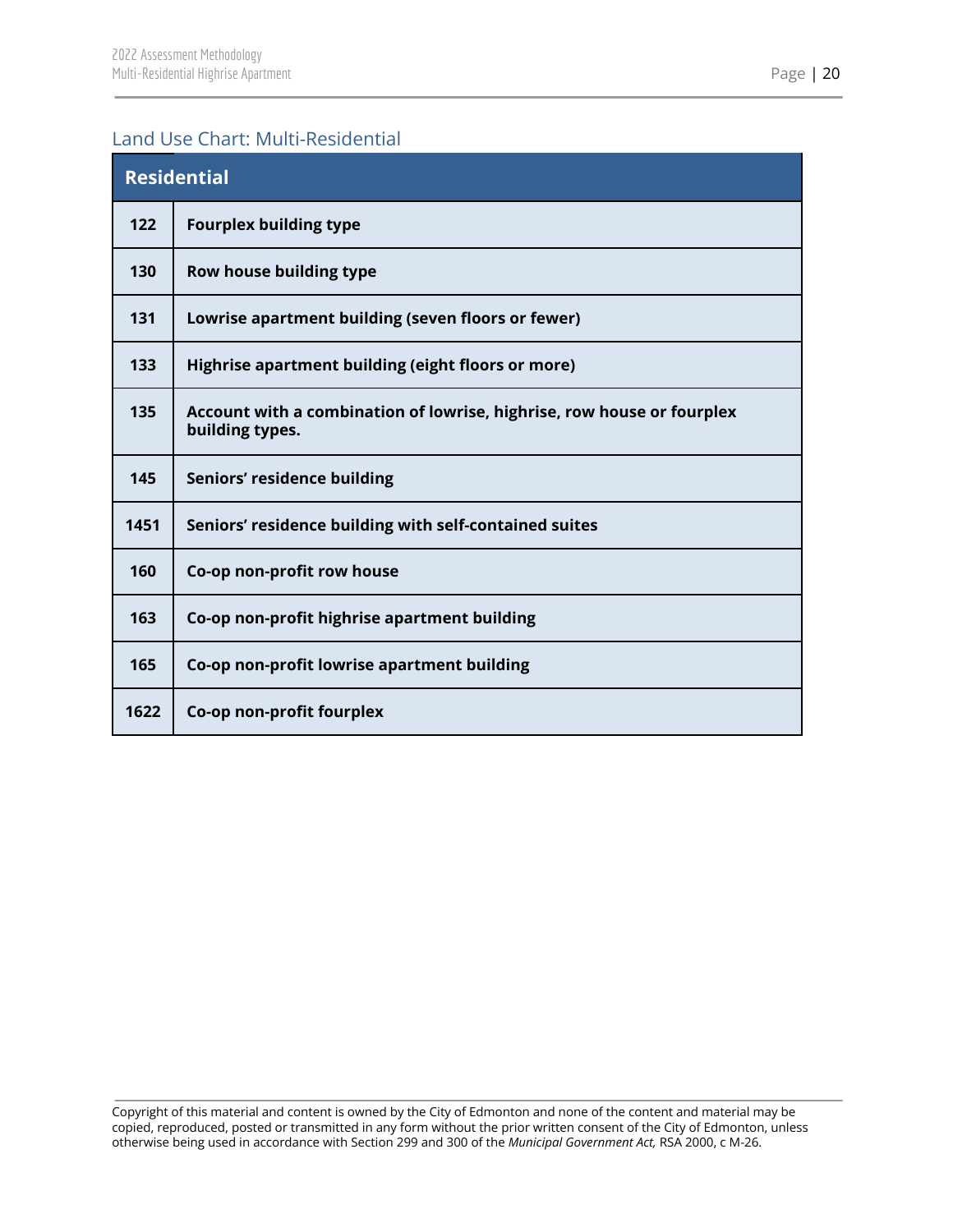## <span id="page-20-0"></span>Land Use Chart: Multi-Residential

| <b>Residential</b> |                                                                                           |  |  |  |
|--------------------|-------------------------------------------------------------------------------------------|--|--|--|
| 122                | <b>Fourplex building type</b>                                                             |  |  |  |
| 130                | Row house building type                                                                   |  |  |  |
| 131                | Lowrise apartment building (seven floors or fewer)                                        |  |  |  |
| 133                | Highrise apartment building (eight floors or more)                                        |  |  |  |
| 135                | Account with a combination of lowrise, highrise, row house or fourplex<br>building types. |  |  |  |
| 145                | Seniors' residence building                                                               |  |  |  |
| 1451               | Seniors' residence building with self-contained suites                                    |  |  |  |
| 160                | Co-op non-profit row house                                                                |  |  |  |
| 163                | Co-op non-profit highrise apartment building                                              |  |  |  |
| 165                | Co-op non-profit lowrise apartment building                                               |  |  |  |
| 1622               | Co-op non-profit fourplex                                                                 |  |  |  |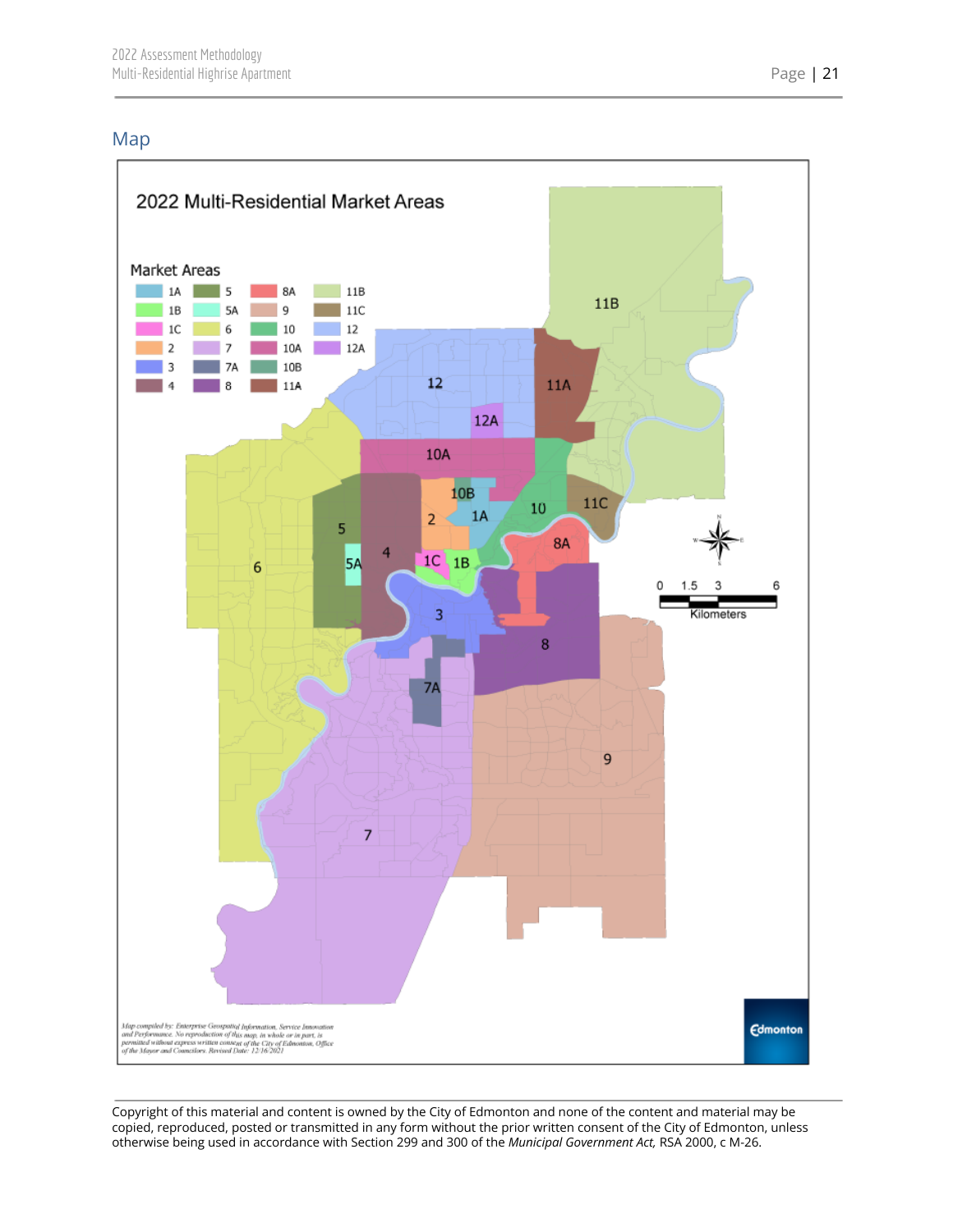## <span id="page-21-0"></span>Map